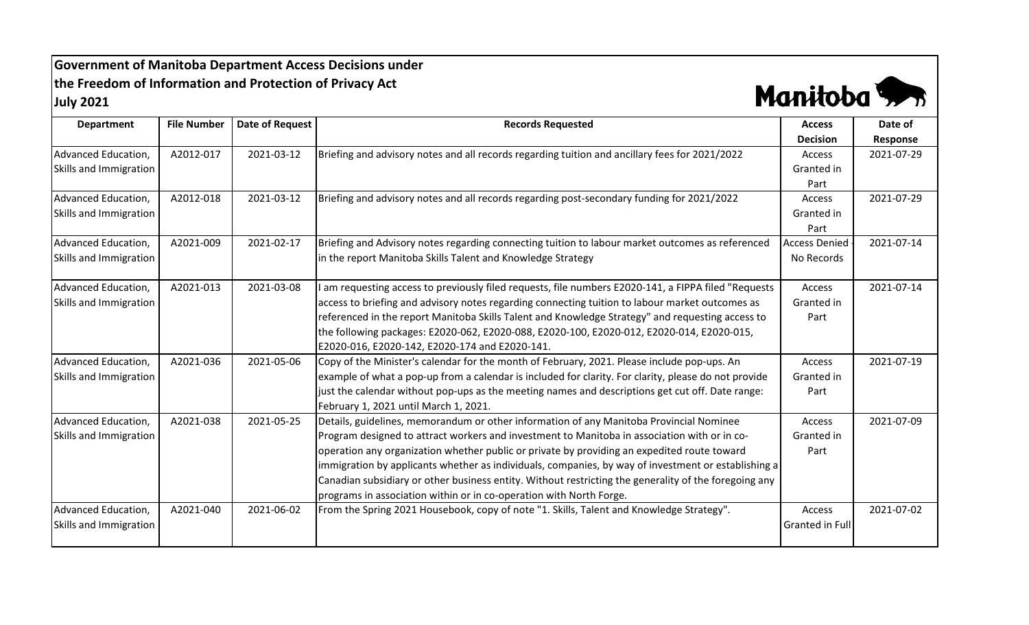**Government of Manitoba Department Access Decisions under the Freedom of Information and Protection of Privacy Act July 2021**



| <b>Department</b>      | <b>File Number</b> | <b>Date of Request</b> | <b>Records Requested</b>                                                                              | <b>Access</b>        | Date of    |
|------------------------|--------------------|------------------------|-------------------------------------------------------------------------------------------------------|----------------------|------------|
|                        |                    |                        |                                                                                                       | <b>Decision</b>      | Response   |
| Advanced Education,    | A2012-017          | 2021-03-12             | Briefing and advisory notes and all records regarding tuition and ancillary fees for 2021/2022        | Access               | 2021-07-29 |
| Skills and Immigration |                    |                        |                                                                                                       | Granted in           |            |
|                        |                    |                        |                                                                                                       | Part                 |            |
| Advanced Education,    | A2012-018          | 2021-03-12             | Briefing and advisory notes and all records regarding post-secondary funding for 2021/2022            | Access               | 2021-07-29 |
| Skills and Immigration |                    |                        |                                                                                                       | Granted in           |            |
|                        |                    |                        |                                                                                                       | Part                 |            |
| Advanced Education,    | A2021-009          | 2021-02-17             | Briefing and Advisory notes regarding connecting tuition to labour market outcomes as referenced      | <b>Access Denied</b> | 2021-07-14 |
| Skills and Immigration |                    |                        | in the report Manitoba Skills Talent and Knowledge Strategy                                           | No Records           |            |
|                        |                    |                        |                                                                                                       |                      |            |
| Advanced Education,    | A2021-013          | 2021-03-08             | I am requesting access to previously filed requests, file numbers E2020-141, a FIPPA filed "Requests  | Access               | 2021-07-14 |
| Skills and Immigration |                    |                        | access to briefing and advisory notes regarding connecting tuition to labour market outcomes as       | Granted in           |            |
|                        |                    |                        | referenced in the report Manitoba Skills Talent and Knowledge Strategy" and requesting access to      | Part                 |            |
|                        |                    |                        | the following packages: E2020-062, E2020-088, E2020-100, E2020-012, E2020-014, E2020-015,             |                      |            |
|                        |                    |                        | E2020-016, E2020-142, E2020-174 and E2020-141.                                                        |                      |            |
| Advanced Education,    | A2021-036          | 2021-05-06             | Copy of the Minister's calendar for the month of February, 2021. Please include pop-ups. An           | Access               | 2021-07-19 |
| Skills and Immigration |                    |                        | example of what a pop-up from a calendar is included for clarity. For clarity, please do not provide  | Granted in           |            |
|                        |                    |                        | just the calendar without pop-ups as the meeting names and descriptions get cut off. Date range:      | Part                 |            |
|                        |                    |                        | February 1, 2021 until March 1, 2021.                                                                 |                      |            |
| Advanced Education,    | A2021-038          | 2021-05-25             | Details, guidelines, memorandum or other information of any Manitoba Provincial Nominee               | Access               | 2021-07-09 |
| Skills and Immigration |                    |                        | Program designed to attract workers and investment to Manitoba in association with or in co-          | Granted in           |            |
|                        |                    |                        | operation any organization whether public or private by providing an expedited route toward           | Part                 |            |
|                        |                    |                        | immigration by applicants whether as individuals, companies, by way of investment or establishing a   |                      |            |
|                        |                    |                        | Canadian subsidiary or other business entity. Without restricting the generality of the foregoing any |                      |            |
|                        |                    |                        | programs in association within or in co-operation with North Forge.                                   |                      |            |
| Advanced Education,    | A2021-040          | 2021-06-02             | From the Spring 2021 Housebook, copy of note "1. Skills, Talent and Knowledge Strategy".              | Access               | 2021-07-02 |
| Skills and Immigration |                    |                        |                                                                                                       | Granted in Full      |            |
|                        |                    |                        |                                                                                                       |                      |            |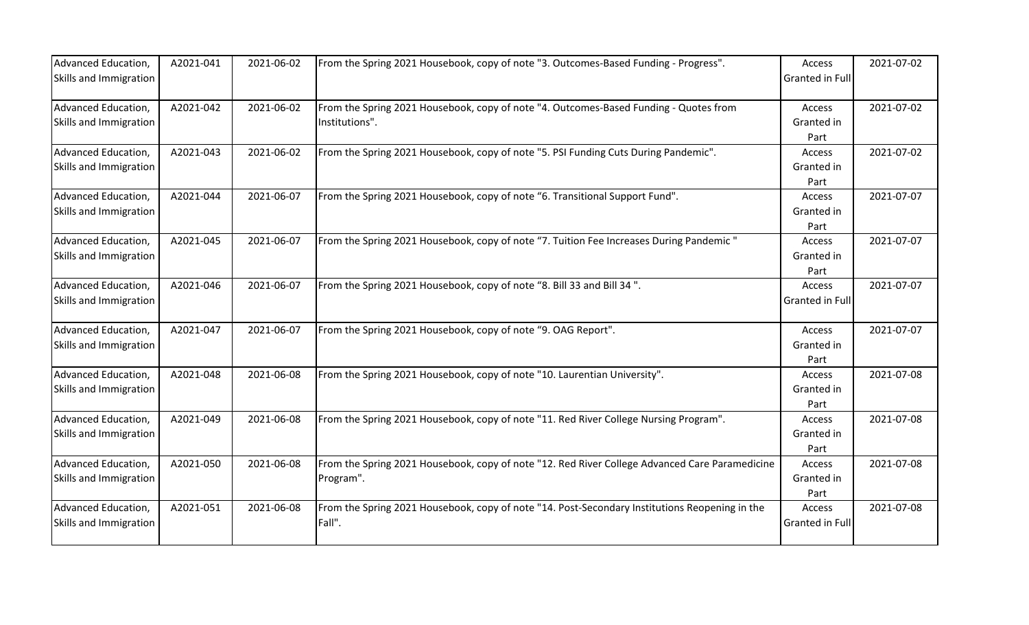| Advanced Education,    | A2021-041 | 2021-06-02 | From the Spring 2021 Housebook, copy of note "3. Outcomes-Based Funding - Progress".           | Access          | 2021-07-02 |
|------------------------|-----------|------------|------------------------------------------------------------------------------------------------|-----------------|------------|
| Skills and Immigration |           |            |                                                                                                | Granted in Full |            |
|                        |           |            |                                                                                                |                 |            |
| Advanced Education,    | A2021-042 | 2021-06-02 | From the Spring 2021 Housebook, copy of note "4. Outcomes-Based Funding - Quotes from          | Access          | 2021-07-02 |
| Skills and Immigration |           |            | Institutions".                                                                                 | Granted in      |            |
|                        |           |            |                                                                                                | Part            |            |
| Advanced Education,    | A2021-043 | 2021-06-02 | From the Spring 2021 Housebook, copy of note "5. PSI Funding Cuts During Pandemic".            | Access          | 2021-07-02 |
| Skills and Immigration |           |            |                                                                                                | Granted in      |            |
|                        |           |            |                                                                                                | Part            |            |
| Advanced Education,    | A2021-044 | 2021-06-07 | From the Spring 2021 Housebook, copy of note "6. Transitional Support Fund".                   | Access          | 2021-07-07 |
| Skills and Immigration |           |            |                                                                                                | Granted in      |            |
|                        |           |            |                                                                                                | Part            |            |
| Advanced Education,    | A2021-045 | 2021-06-07 | From the Spring 2021 Housebook, copy of note "7. Tuition Fee Increases During Pandemic"        | Access          | 2021-07-07 |
| Skills and Immigration |           |            |                                                                                                | Granted in      |            |
|                        |           |            |                                                                                                | Part            |            |
| Advanced Education,    | A2021-046 | 2021-06-07 | From the Spring 2021 Housebook, copy of note "8. Bill 33 and Bill 34".                         | Access          | 2021-07-07 |
| Skills and Immigration |           |            |                                                                                                | Granted in Full |            |
|                        |           |            |                                                                                                |                 |            |
| Advanced Education,    | A2021-047 | 2021-06-07 | From the Spring 2021 Housebook, copy of note "9. OAG Report".                                  | Access          | 2021-07-07 |
| Skills and Immigration |           |            |                                                                                                | Granted in      |            |
|                        |           |            |                                                                                                | Part            |            |
| Advanced Education,    | A2021-048 | 2021-06-08 | From the Spring 2021 Housebook, copy of note "10. Laurentian University".                      | Access          | 2021-07-08 |
| Skills and Immigration |           |            |                                                                                                | Granted in      |            |
|                        |           |            |                                                                                                | Part            |            |
| Advanced Education,    | A2021-049 | 2021-06-08 | From the Spring 2021 Housebook, copy of note "11. Red River College Nursing Program".          | Access          | 2021-07-08 |
| Skills and Immigration |           |            |                                                                                                | Granted in      |            |
|                        |           |            |                                                                                                | Part            |            |
| Advanced Education,    | A2021-050 | 2021-06-08 | From the Spring 2021 Housebook, copy of note "12. Red River College Advanced Care Paramedicine | Access          | 2021-07-08 |
| Skills and Immigration |           |            | Program".                                                                                      | Granted in      |            |
|                        |           |            |                                                                                                | Part            |            |
| Advanced Education,    | A2021-051 | 2021-06-08 | From the Spring 2021 Housebook, copy of note "14. Post-Secondary Institutions Reopening in the | Access          | 2021-07-08 |
| Skills and Immigration |           |            | Fall".                                                                                         | Granted in Full |            |
|                        |           |            |                                                                                                |                 |            |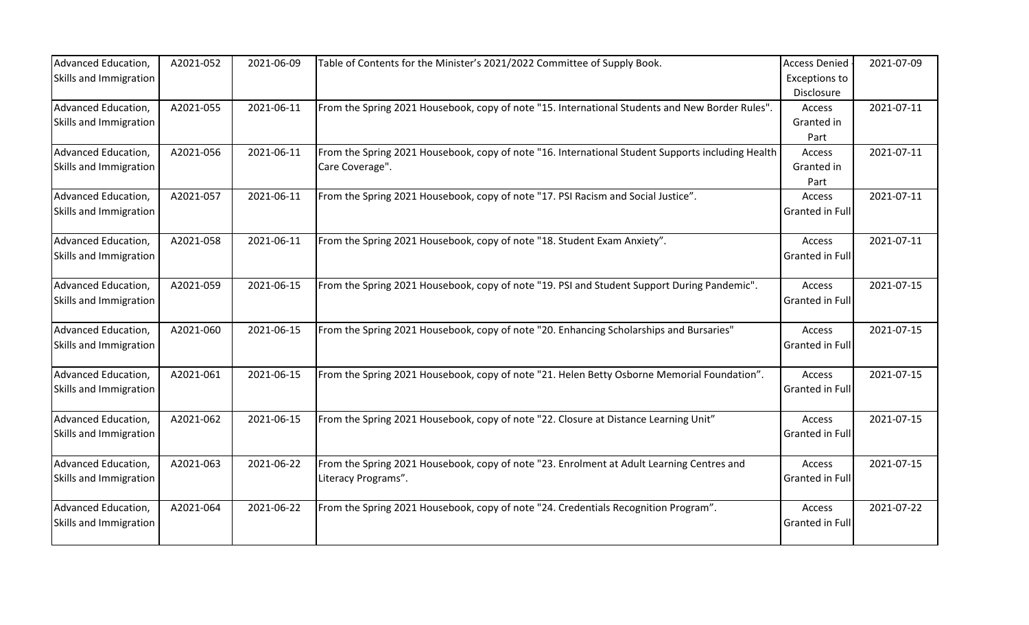| Advanced Education,    | A2021-052 | 2021-06-09 | Table of Contents for the Minister's 2021/2022 Committee of Supply Book.                          | <b>Access Denied</b>   | 2021-07-09 |
|------------------------|-----------|------------|---------------------------------------------------------------------------------------------------|------------------------|------------|
| Skills and Immigration |           |            |                                                                                                   | <b>Exceptions to</b>   |            |
|                        |           |            |                                                                                                   | Disclosure             |            |
| Advanced Education,    | A2021-055 | 2021-06-11 | From the Spring 2021 Housebook, copy of note "15. International Students and New Border Rules".   | Access                 | 2021-07-11 |
| Skills and Immigration |           |            |                                                                                                   | Granted in             |            |
|                        |           |            |                                                                                                   | Part                   |            |
| Advanced Education,    | A2021-056 | 2021-06-11 | From the Spring 2021 Housebook, copy of note "16. International Student Supports including Health | Access                 | 2021-07-11 |
| Skills and Immigration |           |            | Care Coverage".                                                                                   | Granted in             |            |
|                        |           |            |                                                                                                   | Part                   |            |
| Advanced Education,    | A2021-057 | 2021-06-11 | From the Spring 2021 Housebook, copy of note "17. PSI Racism and Social Justice".                 | Access                 | 2021-07-11 |
| Skills and Immigration |           |            |                                                                                                   | <b>Granted in Full</b> |            |
|                        |           |            |                                                                                                   |                        |            |
| Advanced Education,    | A2021-058 | 2021-06-11 | From the Spring 2021 Housebook, copy of note "18. Student Exam Anxiety".                          | Access                 | 2021-07-11 |
| Skills and Immigration |           |            |                                                                                                   | Granted in Full        |            |
|                        |           |            |                                                                                                   |                        |            |
| Advanced Education,    | A2021-059 | 2021-06-15 | From the Spring 2021 Housebook, copy of note "19. PSI and Student Support During Pandemic".       | Access                 | 2021-07-15 |
| Skills and Immigration |           |            |                                                                                                   | <b>Granted in Full</b> |            |
|                        |           |            |                                                                                                   |                        |            |
| Advanced Education,    | A2021-060 | 2021-06-15 | From the Spring 2021 Housebook, copy of note "20. Enhancing Scholarships and Bursaries"           | Access                 | 2021-07-15 |
| Skills and Immigration |           |            |                                                                                                   | Granted in Full        |            |
|                        |           |            |                                                                                                   |                        |            |
| Advanced Education,    | A2021-061 | 2021-06-15 | From the Spring 2021 Housebook, copy of note "21. Helen Betty Osborne Memorial Foundation".       | Access                 | 2021-07-15 |
| Skills and Immigration |           |            |                                                                                                   | Granted in Full        |            |
|                        |           |            |                                                                                                   |                        |            |
| Advanced Education,    | A2021-062 | 2021-06-15 | From the Spring 2021 Housebook, copy of note "22. Closure at Distance Learning Unit"              | Access                 | 2021-07-15 |
| Skills and Immigration |           |            |                                                                                                   | <b>Granted in Full</b> |            |
|                        |           |            |                                                                                                   |                        |            |
| Advanced Education,    | A2021-063 | 2021-06-22 | From the Spring 2021 Housebook, copy of note "23. Enrolment at Adult Learning Centres and         | Access                 | 2021-07-15 |
| Skills and Immigration |           |            | Literacy Programs".                                                                               | <b>Granted in Full</b> |            |
|                        |           |            |                                                                                                   |                        |            |
| Advanced Education,    | A2021-064 | 2021-06-22 | From the Spring 2021 Housebook, copy of note "24. Credentials Recognition Program".               | Access                 | 2021-07-22 |
| Skills and Immigration |           |            |                                                                                                   | Granted in Full        |            |
|                        |           |            |                                                                                                   |                        |            |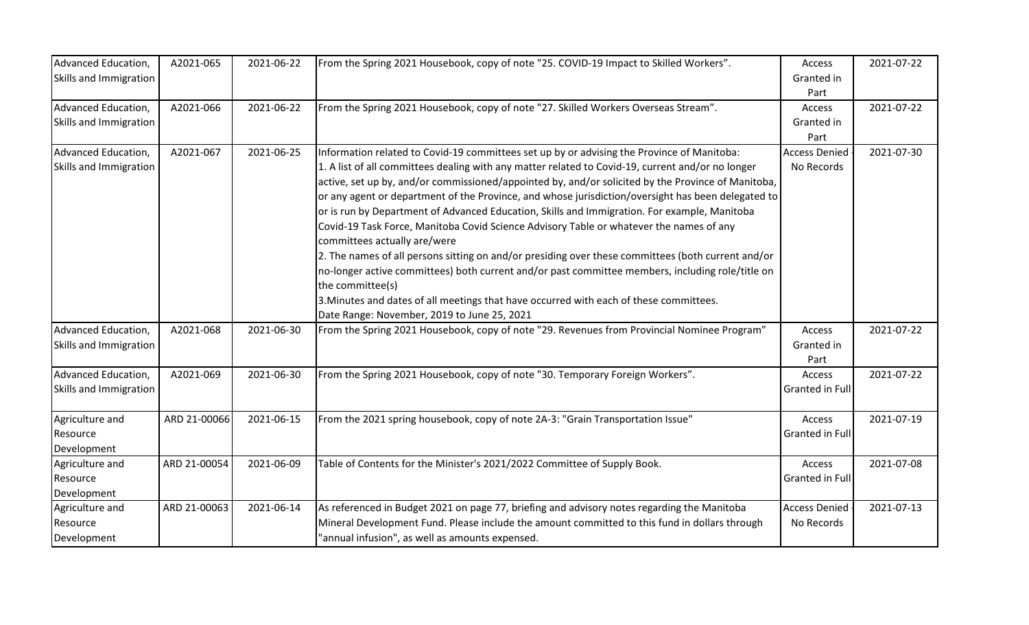| Advanced Education,<br>Skills and Immigration | A2021-065    | 2021-06-22 | From the Spring 2021 Housebook, copy of note "25. COVID-19 Impact to Skilled Workers".                                                                                                                                                                                                                                                                                                                                                                                                                                                                                                                                                                                                                                                                                                                                                                                                                                                                                                                        | Access<br>Granted in<br>Part       | 2021-07-22 |
|-----------------------------------------------|--------------|------------|---------------------------------------------------------------------------------------------------------------------------------------------------------------------------------------------------------------------------------------------------------------------------------------------------------------------------------------------------------------------------------------------------------------------------------------------------------------------------------------------------------------------------------------------------------------------------------------------------------------------------------------------------------------------------------------------------------------------------------------------------------------------------------------------------------------------------------------------------------------------------------------------------------------------------------------------------------------------------------------------------------------|------------------------------------|------------|
| Advanced Education,<br>Skills and Immigration | A2021-066    | 2021-06-22 | From the Spring 2021 Housebook, copy of note "27. Skilled Workers Overseas Stream".                                                                                                                                                                                                                                                                                                                                                                                                                                                                                                                                                                                                                                                                                                                                                                                                                                                                                                                           | Access<br>Granted in<br>Part       | 2021-07-22 |
| Advanced Education,<br>Skills and Immigration | A2021-067    | 2021-06-25 | Information related to Covid-19 committees set up by or advising the Province of Manitoba:<br>1. A list of all committees dealing with any matter related to Covid-19, current and/or no longer<br>active, set up by, and/or commissioned/appointed by, and/or solicited by the Province of Manitoba,<br>or any agent or department of the Province, and whose jurisdiction/oversight has been delegated to<br>or is run by Department of Advanced Education, Skills and Immigration. For example, Manitoba<br>Covid-19 Task Force, Manitoba Covid Science Advisory Table or whatever the names of any<br>committees actually are/were<br>2. The names of all persons sitting on and/or presiding over these committees (both current and/or<br>no-longer active committees) both current and/or past committee members, including role/title on<br>the committee(s)<br>3. Minutes and dates of all meetings that have occurred with each of these committees.<br>Date Range: November, 2019 to June 25, 2021 | <b>Access Denied</b><br>No Records | 2021-07-30 |
| Advanced Education,<br>Skills and Immigration | A2021-068    | 2021-06-30 | From the Spring 2021 Housebook, copy of note "29. Revenues from Provincial Nominee Program"                                                                                                                                                                                                                                                                                                                                                                                                                                                                                                                                                                                                                                                                                                                                                                                                                                                                                                                   | Access<br>Granted in<br>Part       | 2021-07-22 |
| Advanced Education,<br>Skills and Immigration | A2021-069    | 2021-06-30 | From the Spring 2021 Housebook, copy of note "30. Temporary Foreign Workers".                                                                                                                                                                                                                                                                                                                                                                                                                                                                                                                                                                                                                                                                                                                                                                                                                                                                                                                                 | Access<br>Granted in Full          | 2021-07-22 |
| Agriculture and<br>Resource<br>Development    | ARD 21-00066 | 2021-06-15 | From the 2021 spring housebook, copy of note 2A-3: "Grain Transportation Issue"                                                                                                                                                                                                                                                                                                                                                                                                                                                                                                                                                                                                                                                                                                                                                                                                                                                                                                                               | Access<br>Granted in Full          | 2021-07-19 |
| Agriculture and<br>Resource<br>Development    | ARD 21-00054 | 2021-06-09 | Table of Contents for the Minister's 2021/2022 Committee of Supply Book.                                                                                                                                                                                                                                                                                                                                                                                                                                                                                                                                                                                                                                                                                                                                                                                                                                                                                                                                      | Access<br>Granted in Full          | 2021-07-08 |
| Agriculture and<br>Resource<br>Development    | ARD 21-00063 | 2021-06-14 | As referenced in Budget 2021 on page 77, briefing and advisory notes regarding the Manitoba<br>Mineral Development Fund. Please include the amount committed to this fund in dollars through<br>"annual infusion", as well as amounts expensed.                                                                                                                                                                                                                                                                                                                                                                                                                                                                                                                                                                                                                                                                                                                                                               | <b>Access Denied</b><br>No Records | 2021-07-13 |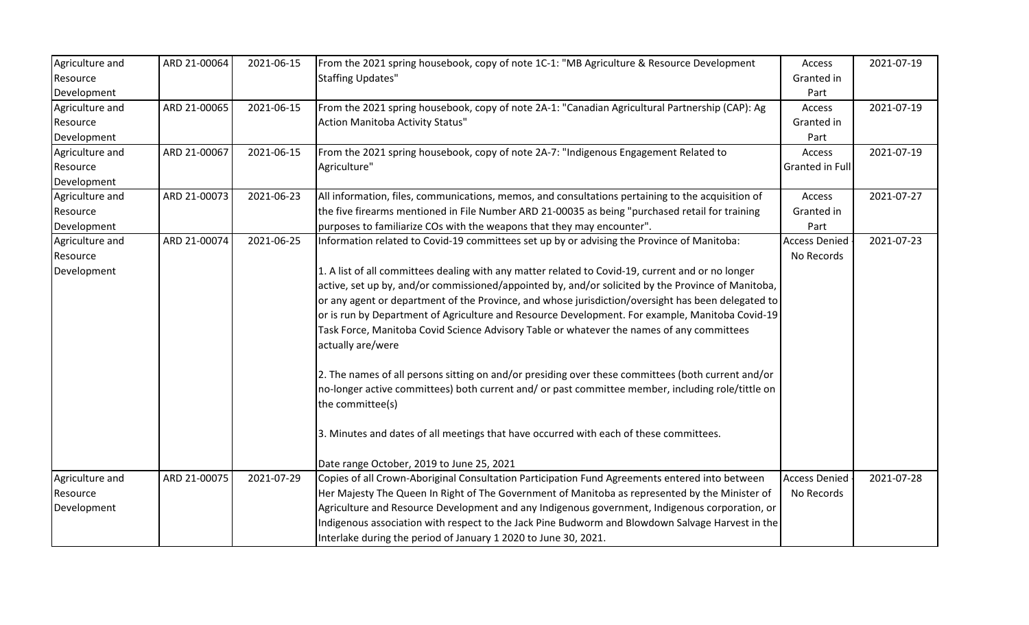| Agriculture and | ARD 21-00064 | 2021-06-15 | From the 2021 spring housebook, copy of note 1C-1: "MB Agriculture & Resource Development          | Access               | 2021-07-19 |
|-----------------|--------------|------------|----------------------------------------------------------------------------------------------------|----------------------|------------|
| Resource        |              |            | <b>Staffing Updates"</b>                                                                           | Granted in           |            |
| Development     |              |            |                                                                                                    | Part                 |            |
| Agriculture and | ARD 21-00065 | 2021-06-15 | From the 2021 spring housebook, copy of note 2A-1: "Canadian Agricultural Partnership (CAP): Ag    | Access               | 2021-07-19 |
| Resource        |              |            | Action Manitoba Activity Status"                                                                   | Granted in           |            |
| Development     |              |            |                                                                                                    | Part                 |            |
| Agriculture and | ARD 21-00067 | 2021-06-15 | From the 2021 spring housebook, copy of note 2A-7: "Indigenous Engagement Related to               | Access               | 2021-07-19 |
| Resource        |              |            | Agriculture"                                                                                       | Granted in Full      |            |
| Development     |              |            |                                                                                                    |                      |            |
| Agriculture and | ARD 21-00073 | 2021-06-23 | All information, files, communications, memos, and consultations pertaining to the acquisition of  | Access               | 2021-07-27 |
| Resource        |              |            | the five firearms mentioned in File Number ARD 21-00035 as being "purchased retail for training    | Granted in           |            |
| Development     |              |            | purposes to familiarize COs with the weapons that they may encounter".                             | Part                 |            |
| Agriculture and | ARD 21-00074 | 2021-06-25 | Information related to Covid-19 committees set up by or advising the Province of Manitoba:         | <b>Access Denied</b> | 2021-07-23 |
| Resource        |              |            |                                                                                                    | No Records           |            |
| Development     |              |            | 1. A list of all committees dealing with any matter related to Covid-19, current and or no longer  |                      |            |
|                 |              |            | active, set up by, and/or commissioned/appointed by, and/or solicited by the Province of Manitoba, |                      |            |
|                 |              |            | or any agent or department of the Province, and whose jurisdiction/oversight has been delegated to |                      |            |
|                 |              |            | or is run by Department of Agriculture and Resource Development. For example, Manitoba Covid-19    |                      |            |
|                 |              |            | Task Force, Manitoba Covid Science Advisory Table or whatever the names of any committees          |                      |            |
|                 |              |            | actually are/were                                                                                  |                      |            |
|                 |              |            | 2. The names of all persons sitting on and/or presiding over these committees (both current and/or |                      |            |
|                 |              |            | no-longer active committees) both current and/ or past committee member, including role/tittle on  |                      |            |
|                 |              |            | the committee(s)                                                                                   |                      |            |
|                 |              |            | 3. Minutes and dates of all meetings that have occurred with each of these committees.             |                      |            |
|                 |              |            | Date range October, 2019 to June 25, 2021                                                          |                      |            |
| Agriculture and | ARD 21-00075 | 2021-07-29 | Copies of all Crown-Aboriginal Consultation Participation Fund Agreements entered into between     | <b>Access Denied</b> | 2021-07-28 |
| Resource        |              |            | Her Majesty The Queen In Right of The Government of Manitoba as represented by the Minister of     | No Records           |            |
| Development     |              |            | Agriculture and Resource Development and any Indigenous government, Indigenous corporation, or     |                      |            |
|                 |              |            | Indigenous association with respect to the Jack Pine Budworm and Blowdown Salvage Harvest in the   |                      |            |
|                 |              |            | Interlake during the period of January 1 2020 to June 30, 2021.                                    |                      |            |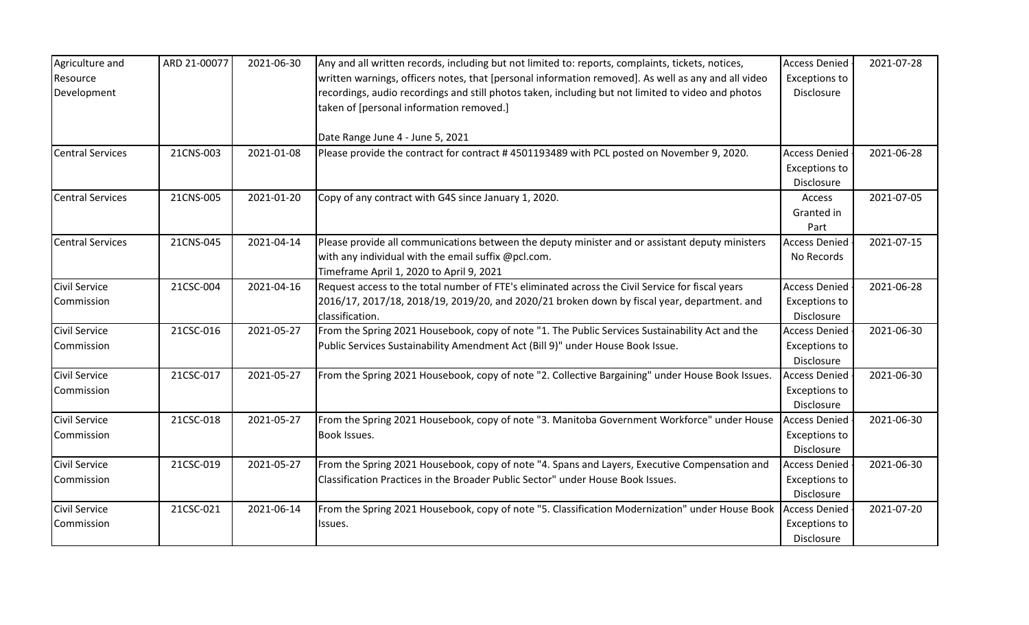| Agriculture and         | ARD 21-00077 | 2021-06-30 | Any and all written records, including but not limited to: reports, complaints, tickets, notices,   | <b>Access Denied</b> | 2021-07-28 |
|-------------------------|--------------|------------|-----------------------------------------------------------------------------------------------------|----------------------|------------|
| Resource                |              |            | written warnings, officers notes, that [personal information removed]. As well as any and all video | <b>Exceptions to</b> |            |
| Development             |              |            | recordings, audio recordings and still photos taken, including but not limited to video and photos  | Disclosure           |            |
|                         |              |            | taken of [personal information removed.]                                                            |                      |            |
|                         |              |            | Date Range June 4 - June 5, 2021                                                                    |                      |            |
| <b>Central Services</b> | 21CNS-003    | 2021-01-08 | Please provide the contract for contract #4501193489 with PCL posted on November 9, 2020.           | <b>Access Denied</b> | 2021-06-28 |
|                         |              |            |                                                                                                     | <b>Exceptions to</b> |            |
|                         |              |            |                                                                                                     | Disclosure           |            |
| <b>Central Services</b> | 21CNS-005    | 2021-01-20 | Copy of any contract with G4S since January 1, 2020.                                                | Access               | 2021-07-05 |
|                         |              |            |                                                                                                     | Granted in           |            |
|                         |              |            |                                                                                                     | Part                 |            |
| <b>Central Services</b> | 21CNS-045    | 2021-04-14 | Please provide all communications between the deputy minister and or assistant deputy ministers     | <b>Access Denied</b> | 2021-07-15 |
|                         |              |            | with any individual with the email suffix @pcl.com.                                                 | No Records           |            |
|                         |              |            | Timeframe April 1, 2020 to April 9, 2021                                                            |                      |            |
| <b>Civil Service</b>    | 21CSC-004    | 2021-04-16 | Request access to the total number of FTE's eliminated across the Civil Service for fiscal years    | <b>Access Denied</b> | 2021-06-28 |
| Commission              |              |            | 2016/17, 2017/18, 2018/19, 2019/20, and 2020/21 broken down by fiscal year, department. and         | <b>Exceptions to</b> |            |
|                         |              |            | classification.                                                                                     | Disclosure           |            |
| <b>Civil Service</b>    | 21CSC-016    | 2021-05-27 | From the Spring 2021 Housebook, copy of note "1. The Public Services Sustainability Act and the     | <b>Access Denied</b> | 2021-06-30 |
| Commission              |              |            | Public Services Sustainability Amendment Act (Bill 9)" under House Book Issue.                      | <b>Exceptions to</b> |            |
|                         |              |            |                                                                                                     | Disclosure           |            |
| <b>Civil Service</b>    | 21CSC-017    | 2021-05-27 | From the Spring 2021 Housebook, copy of note "2. Collective Bargaining" under House Book Issues.    | <b>Access Denied</b> | 2021-06-30 |
| Commission              |              |            |                                                                                                     | <b>Exceptions to</b> |            |
|                         |              |            |                                                                                                     | Disclosure           |            |
| <b>Civil Service</b>    | 21CSC-018    | 2021-05-27 | From the Spring 2021 Housebook, copy of note "3. Manitoba Government Workforce" under House         | <b>Access Denied</b> | 2021-06-30 |
| Commission              |              |            | Book Issues.                                                                                        | <b>Exceptions to</b> |            |
|                         |              |            |                                                                                                     | Disclosure           |            |
| <b>Civil Service</b>    | 21CSC-019    | 2021-05-27 | From the Spring 2021 Housebook, copy of note "4. Spans and Layers, Executive Compensation and       | <b>Access Denied</b> | 2021-06-30 |
| Commission              |              |            | Classification Practices in the Broader Public Sector" under House Book Issues.                     | Exceptions to        |            |
|                         |              |            |                                                                                                     | Disclosure           |            |
| <b>Civil Service</b>    | 21CSC-021    | 2021-06-14 | From the Spring 2021 Housebook, copy of note "5. Classification Modernization" under House Book     | <b>Access Denied</b> | 2021-07-20 |
| Commission              |              |            | Issues.                                                                                             | <b>Exceptions to</b> |            |
|                         |              |            |                                                                                                     | Disclosure           |            |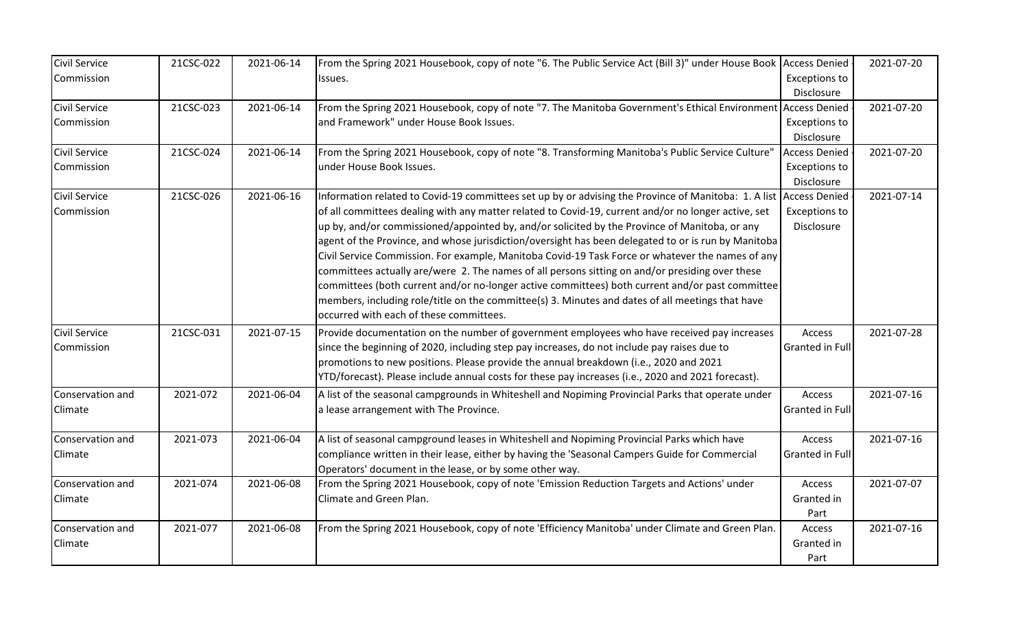| Civil Service        | 21CSC-022 | 2021-06-14 | From the Spring 2021 Housebook, copy of note "6. The Public Service Act (Bill 3)" under House Book Access Denied   |                        | 2021-07-20 |
|----------------------|-----------|------------|--------------------------------------------------------------------------------------------------------------------|------------------------|------------|
| Commission           |           |            | Issues.                                                                                                            | <b>Exceptions to</b>   |            |
|                      |           |            |                                                                                                                    | Disclosure             |            |
| <b>Civil Service</b> | 21CSC-023 | 2021-06-14 | From the Spring 2021 Housebook, copy of note "7. The Manitoba Government's Ethical Environment Access Denied       |                        | 2021-07-20 |
| Commission           |           |            | and Framework" under House Book Issues.                                                                            | <b>Exceptions to</b>   |            |
|                      |           |            |                                                                                                                    | Disclosure             |            |
| Civil Service        | 21CSC-024 | 2021-06-14 | From the Spring 2021 Housebook, copy of note "8. Transforming Manitoba's Public Service Culture"                   | <b>Access Denied</b>   | 2021-07-20 |
| Commission           |           |            | under House Book Issues.                                                                                           | <b>Exceptions to</b>   |            |
|                      |           |            |                                                                                                                    | Disclosure             |            |
| <b>Civil Service</b> | 21CSC-026 | 2021-06-16 | Information related to Covid-19 committees set up by or advising the Province of Manitoba: 1. A list Access Denied |                        | 2021-07-14 |
| Commission           |           |            | of all committees dealing with any matter related to Covid-19, current and/or no longer active, set                | <b>Exceptions to</b>   |            |
|                      |           |            | up by, and/or commissioned/appointed by, and/or solicited by the Province of Manitoba, or any                      | Disclosure             |            |
|                      |           |            | agent of the Province, and whose jurisdiction/oversight has been delegated to or is run by Manitoba                |                        |            |
|                      |           |            | Civil Service Commission. For example, Manitoba Covid-19 Task Force or whatever the names of any                   |                        |            |
|                      |           |            | committees actually are/were 2. The names of all persons sitting on and/or presiding over these                    |                        |            |
|                      |           |            | committees (both current and/or no-longer active committees) both current and/or past committee                    |                        |            |
|                      |           |            | members, including role/title on the committee(s) 3. Minutes and dates of all meetings that have                   |                        |            |
|                      |           |            | occurred with each of these committees.                                                                            |                        |            |
| <b>Civil Service</b> | 21CSC-031 | 2021-07-15 | Provide documentation on the number of government employees who have received pay increases                        | Access                 | 2021-07-28 |
| Commission           |           |            | since the beginning of 2020, including step pay increases, do not include pay raises due to                        | <b>Granted in Full</b> |            |
|                      |           |            | promotions to new positions. Please provide the annual breakdown (i.e., 2020 and 2021                              |                        |            |
|                      |           |            | YTD/forecast). Please include annual costs for these pay increases (i.e., 2020 and 2021 forecast).                 |                        |            |
| Conservation and     | 2021-072  | 2021-06-04 | A list of the seasonal campgrounds in Whiteshell and Nopiming Provincial Parks that operate under                  | Access                 | 2021-07-16 |
| Climate              |           |            | a lease arrangement with The Province.                                                                             | Granted in Full        |            |
|                      |           |            |                                                                                                                    |                        |            |
| Conservation and     | 2021-073  | 2021-06-04 | A list of seasonal campground leases in Whiteshell and Nopiming Provincial Parks which have                        | Access                 | 2021-07-16 |
| Climate              |           |            | compliance written in their lease, either by having the 'Seasonal Campers Guide for Commercial                     | <b>Granted in Full</b> |            |
|                      |           |            | Operators' document in the lease, or by some other way.                                                            |                        |            |
| Conservation and     | 2021-074  | 2021-06-08 | From the Spring 2021 Housebook, copy of note 'Emission Reduction Targets and Actions' under                        | Access                 | 2021-07-07 |
| Climate              |           |            | Climate and Green Plan.                                                                                            | Granted in             |            |
|                      |           |            |                                                                                                                    | Part                   |            |
| Conservation and     | 2021-077  | 2021-06-08 | From the Spring 2021 Housebook, copy of note 'Efficiency Manitoba' under Climate and Green Plan.                   | Access                 | 2021-07-16 |
| Climate              |           |            |                                                                                                                    | Granted in             |            |
|                      |           |            |                                                                                                                    | Part                   |            |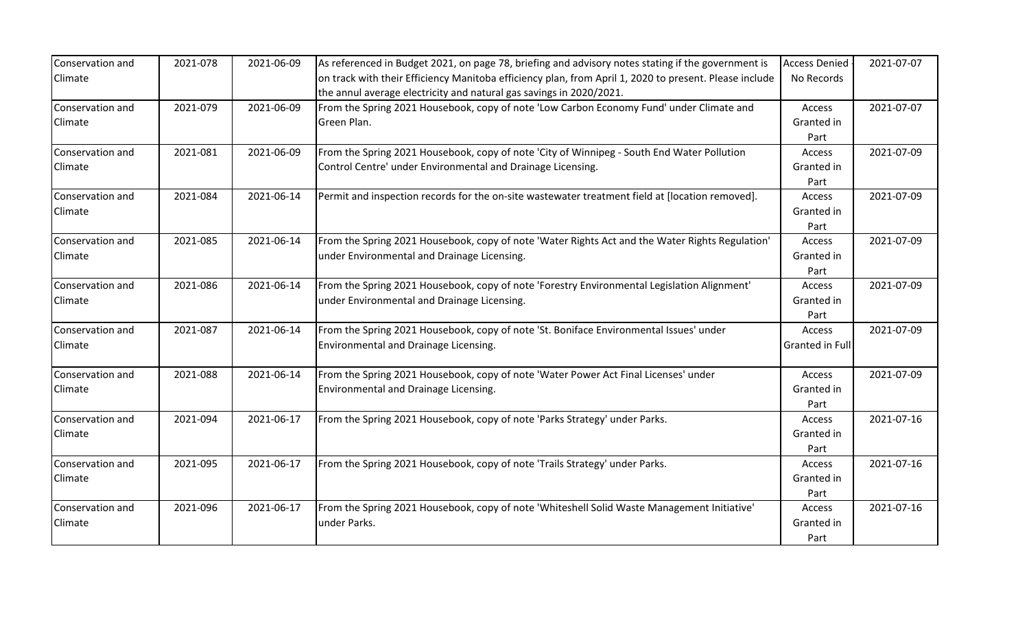| Conservation and | 2021-078 | 2021-06-09 | As referenced in Budget 2021, on page 78, briefing and advisory notes stating if the government is     | <b>Access Denied</b> | 2021-07-07 |
|------------------|----------|------------|--------------------------------------------------------------------------------------------------------|----------------------|------------|
| Climate          |          |            | on track with their Efficiency Manitoba efficiency plan, from April 1, 2020 to present. Please include | No Records           |            |
|                  |          |            | the annul average electricity and natural gas savings in 2020/2021.                                    |                      |            |
| Conservation and | 2021-079 | 2021-06-09 | From the Spring 2021 Housebook, copy of note 'Low Carbon Economy Fund' under Climate and               | Access               | 2021-07-07 |
| Climate          |          |            | Green Plan.                                                                                            | Granted in           |            |
|                  |          |            |                                                                                                        | Part                 |            |
| Conservation and | 2021-081 | 2021-06-09 | From the Spring 2021 Housebook, copy of note 'City of Winnipeg - South End Water Pollution             | Access               | 2021-07-09 |
| Climate          |          |            | Control Centre' under Environmental and Drainage Licensing.                                            | Granted in           |            |
|                  |          |            |                                                                                                        | Part                 |            |
| Conservation and | 2021-084 | 2021-06-14 | Permit and inspection records for the on-site wastewater treatment field at [location removed].        | Access               | 2021-07-09 |
| Climate          |          |            |                                                                                                        | Granted in           |            |
|                  |          |            |                                                                                                        | Part                 |            |
| Conservation and | 2021-085 | 2021-06-14 | From the Spring 2021 Housebook, copy of note 'Water Rights Act and the Water Rights Regulation'        | Access               | 2021-07-09 |
| Climate          |          |            | under Environmental and Drainage Licensing.                                                            | Granted in           |            |
|                  |          |            |                                                                                                        | Part                 |            |
| Conservation and | 2021-086 | 2021-06-14 | From the Spring 2021 Housebook, copy of note 'Forestry Environmental Legislation Alignment'            | Access               | 2021-07-09 |
| Climate          |          |            | under Environmental and Drainage Licensing.                                                            | Granted in           |            |
|                  |          |            |                                                                                                        | Part                 |            |
| Conservation and | 2021-087 | 2021-06-14 | From the Spring 2021 Housebook, copy of note 'St. Boniface Environmental Issues' under                 | Access               | 2021-07-09 |
| Climate          |          |            | Environmental and Drainage Licensing.                                                                  | Granted in Full      |            |
|                  |          |            |                                                                                                        |                      |            |
| Conservation and | 2021-088 | 2021-06-14 | From the Spring 2021 Housebook, copy of note 'Water Power Act Final Licenses' under                    | Access               | 2021-07-09 |
| Climate          |          |            | Environmental and Drainage Licensing.                                                                  | Granted in           |            |
|                  |          |            |                                                                                                        | Part                 |            |
| Conservation and | 2021-094 | 2021-06-17 | From the Spring 2021 Housebook, copy of note 'Parks Strategy' under Parks.                             | Access               | 2021-07-16 |
| Climate          |          |            |                                                                                                        | Granted in           |            |
|                  |          |            |                                                                                                        | Part                 |            |
| Conservation and | 2021-095 | 2021-06-17 | From the Spring 2021 Housebook, copy of note 'Trails Strategy' under Parks.                            | Access               | 2021-07-16 |
| Climate          |          |            |                                                                                                        | Granted in           |            |
|                  |          |            |                                                                                                        | Part                 |            |
| Conservation and | 2021-096 | 2021-06-17 | From the Spring 2021 Housebook, copy of note 'Whiteshell Solid Waste Management Initiative'            | <b>Access</b>        | 2021-07-16 |
| Climate          |          |            | under Parks.                                                                                           | Granted in           |            |
|                  |          |            |                                                                                                        | Part                 |            |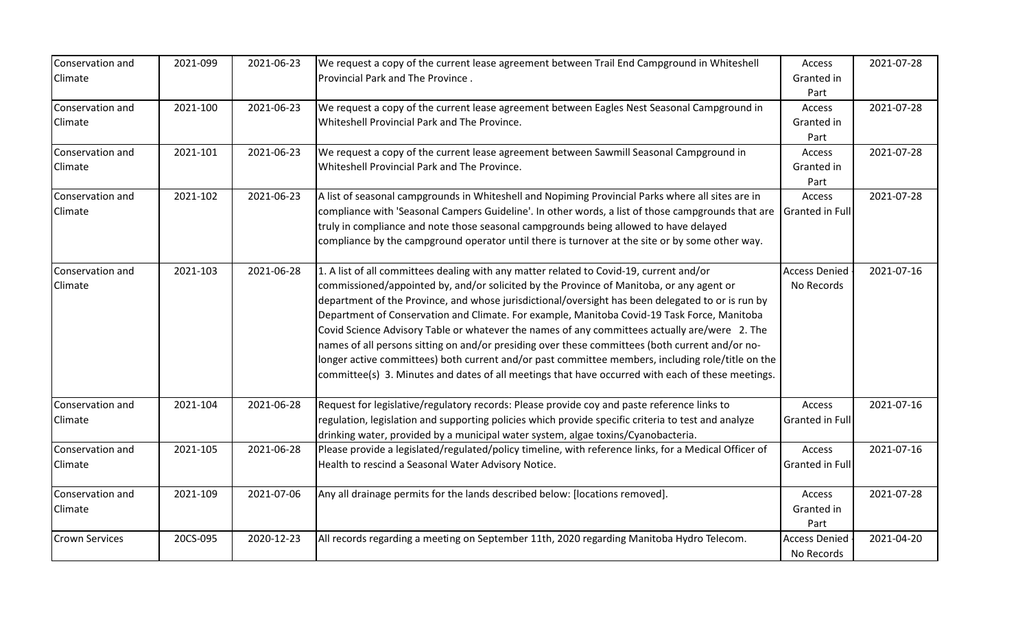| Conservation and      | 2021-099 | 2021-06-23 | We request a copy of the current lease agreement between Trail End Campground in Whiteshell                         | Access                 | 2021-07-28 |
|-----------------------|----------|------------|---------------------------------------------------------------------------------------------------------------------|------------------------|------------|
| Climate               |          |            | Provincial Park and The Province.                                                                                   | Granted in             |            |
|                       |          |            |                                                                                                                     | Part                   |            |
| Conservation and      | 2021-100 | 2021-06-23 | We request a copy of the current lease agreement between Eagles Nest Seasonal Campground in                         | Access                 | 2021-07-28 |
| Climate               |          |            | Whiteshell Provincial Park and The Province.                                                                        | Granted in             |            |
|                       |          |            |                                                                                                                     | Part                   |            |
| Conservation and      | 2021-101 | 2021-06-23 | We request a copy of the current lease agreement between Sawmill Seasonal Campground in                             | Access                 | 2021-07-28 |
| Climate               |          |            | Whiteshell Provincial Park and The Province.                                                                        | Granted in             |            |
|                       |          |            |                                                                                                                     | Part                   |            |
| Conservation and      | 2021-102 | 2021-06-23 | A list of seasonal campgrounds in Whiteshell and Nopiming Provincial Parks where all sites are in                   | Access                 | 2021-07-28 |
| Climate               |          |            | compliance with 'Seasonal Campers Guideline'. In other words, a list of those campgrounds that are  Granted in Full |                        |            |
|                       |          |            | truly in compliance and note those seasonal campgrounds being allowed to have delayed                               |                        |            |
|                       |          |            | compliance by the campground operator until there is turnover at the site or by some other way.                     |                        |            |
| Conservation and      | 2021-103 | 2021-06-28 | 1. A list of all committees dealing with any matter related to Covid-19, current and/or                             | <b>Access Denied</b>   | 2021-07-16 |
| Climate               |          |            | commissioned/appointed by, and/or solicited by the Province of Manitoba, or any agent or                            | No Records             |            |
|                       |          |            | department of the Province, and whose jurisdictional/oversight has been delegated to or is run by                   |                        |            |
|                       |          |            | Department of Conservation and Climate. For example, Manitoba Covid-19 Task Force, Manitoba                         |                        |            |
|                       |          |            | Covid Science Advisory Table or whatever the names of any committees actually are/were 2. The                       |                        |            |
|                       |          |            | names of all persons sitting on and/or presiding over these committees (both current and/or no-                     |                        |            |
|                       |          |            | longer active committees) both current and/or past committee members, including role/title on the                   |                        |            |
|                       |          |            | committee(s) 3. Minutes and dates of all meetings that have occurred with each of these meetings.                   |                        |            |
| Conservation and      | 2021-104 | 2021-06-28 | Request for legislative/regulatory records: Please provide coy and paste reference links to                         | Access                 | 2021-07-16 |
| Climate               |          |            | regulation, legislation and supporting policies which provide specific criteria to test and analyze                 | <b>Granted in Full</b> |            |
|                       |          |            | drinking water, provided by a municipal water system, algae toxins/Cyanobacteria.                                   |                        |            |
| Conservation and      | 2021-105 | 2021-06-28 | Please provide a legislated/regulated/policy timeline, with reference links, for a Medical Officer of               | Access                 | 2021-07-16 |
| Climate               |          |            | Health to rescind a Seasonal Water Advisory Notice.                                                                 | <b>Granted in Full</b> |            |
|                       |          |            |                                                                                                                     |                        |            |
| Conservation and      | 2021-109 | 2021-07-06 | Any all drainage permits for the lands described below: [locations removed].                                        | Access                 | 2021-07-28 |
| Climate               |          |            |                                                                                                                     | Granted in             |            |
|                       |          |            |                                                                                                                     | Part                   |            |
| <b>Crown Services</b> | 20CS-095 | 2020-12-23 | All records regarding a meeting on September 11th, 2020 regarding Manitoba Hydro Telecom.                           | <b>Access Denied</b>   | 2021-04-20 |
|                       |          |            |                                                                                                                     | No Records             |            |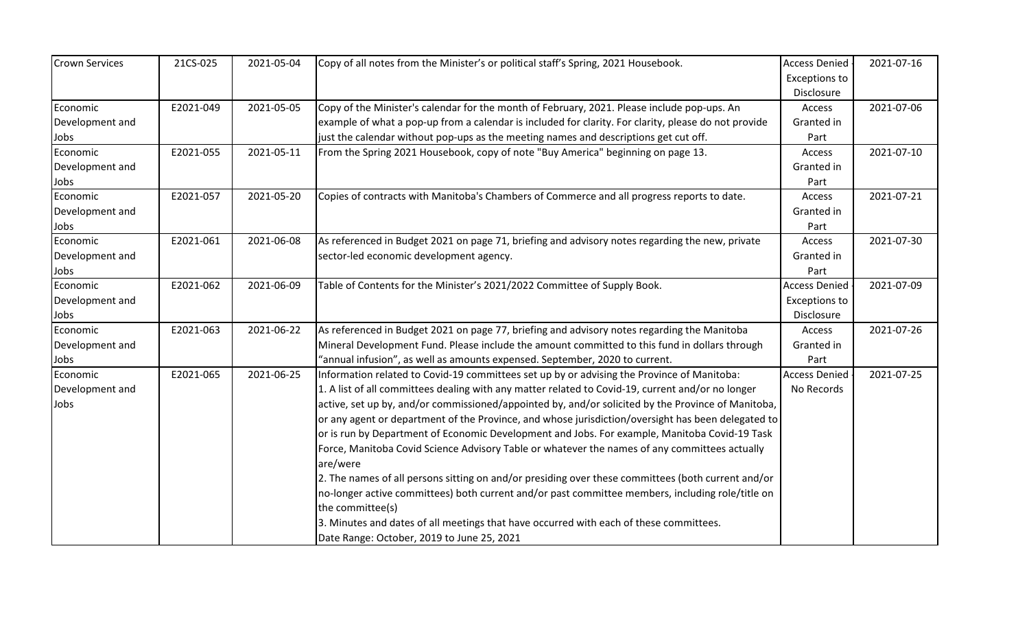| <b>Crown Services</b> | 21CS-025  | 2021-05-04 | Copy of all notes from the Minister's or political staff's Spring, 2021 Housebook.                   | <b>Access Denied</b> | 2021-07-16 |
|-----------------------|-----------|------------|------------------------------------------------------------------------------------------------------|----------------------|------------|
|                       |           |            |                                                                                                      | <b>Exceptions to</b> |            |
|                       |           |            |                                                                                                      | Disclosure           |            |
| Economic              | E2021-049 | 2021-05-05 | Copy of the Minister's calendar for the month of February, 2021. Please include pop-ups. An          | Access               | 2021-07-06 |
| Development and       |           |            | example of what a pop-up from a calendar is included for clarity. For clarity, please do not provide | Granted in           |            |
| Jobs                  |           |            | just the calendar without pop-ups as the meeting names and descriptions get cut off.                 | Part                 |            |
| Economic              | E2021-055 | 2021-05-11 | From the Spring 2021 Housebook, copy of note "Buy America" beginning on page 13.                     | Access               | 2021-07-10 |
| Development and       |           |            |                                                                                                      | Granted in           |            |
| Jobs                  |           |            |                                                                                                      | Part                 |            |
| Economic              | E2021-057 | 2021-05-20 | Copies of contracts with Manitoba's Chambers of Commerce and all progress reports to date.           | Access               | 2021-07-21 |
| Development and       |           |            |                                                                                                      | Granted in           |            |
| Jobs                  |           |            |                                                                                                      | Part                 |            |
| Economic              | E2021-061 | 2021-06-08 | As referenced in Budget 2021 on page 71, briefing and advisory notes regarding the new, private      | Access               | 2021-07-30 |
| Development and       |           |            | sector-led economic development agency.                                                              | Granted in           |            |
| Jobs                  |           |            |                                                                                                      | Part                 |            |
| Economic              | E2021-062 | 2021-06-09 | Table of Contents for the Minister's 2021/2022 Committee of Supply Book.                             | <b>Access Denied</b> | 2021-07-09 |
| Development and       |           |            |                                                                                                      | <b>Exceptions to</b> |            |
| Jobs                  |           |            |                                                                                                      | Disclosure           |            |
| Economic              | E2021-063 | 2021-06-22 | As referenced in Budget 2021 on page 77, briefing and advisory notes regarding the Manitoba          | Access               | 2021-07-26 |
| Development and       |           |            | Mineral Development Fund. Please include the amount committed to this fund in dollars through        | Granted in           |            |
| Jobs                  |           |            | "annual infusion", as well as amounts expensed. September, 2020 to current.                          | Part                 |            |
| Economic              | E2021-065 | 2021-06-25 | Information related to Covid-19 committees set up by or advising the Province of Manitoba:           | <b>Access Denied</b> | 2021-07-25 |
| Development and       |           |            | 1. A list of all committees dealing with any matter related to Covid-19, current and/or no longer    | No Records           |            |
| Jobs                  |           |            | active, set up by, and/or commissioned/appointed by, and/or solicited by the Province of Manitoba,   |                      |            |
|                       |           |            | or any agent or department of the Province, and whose jurisdiction/oversight has been delegated to   |                      |            |
|                       |           |            | or is run by Department of Economic Development and Jobs. For example, Manitoba Covid-19 Task        |                      |            |
|                       |           |            | Force, Manitoba Covid Science Advisory Table or whatever the names of any committees actually        |                      |            |
|                       |           |            | are/were                                                                                             |                      |            |
|                       |           |            | 2. The names of all persons sitting on and/or presiding over these committees (both current and/or   |                      |            |
|                       |           |            | no-longer active committees) both current and/or past committee members, including role/title on     |                      |            |
|                       |           |            | the committee(s)                                                                                     |                      |            |
|                       |           |            | 3. Minutes and dates of all meetings that have occurred with each of these committees.               |                      |            |
|                       |           |            | Date Range: October, 2019 to June 25, 2021                                                           |                      |            |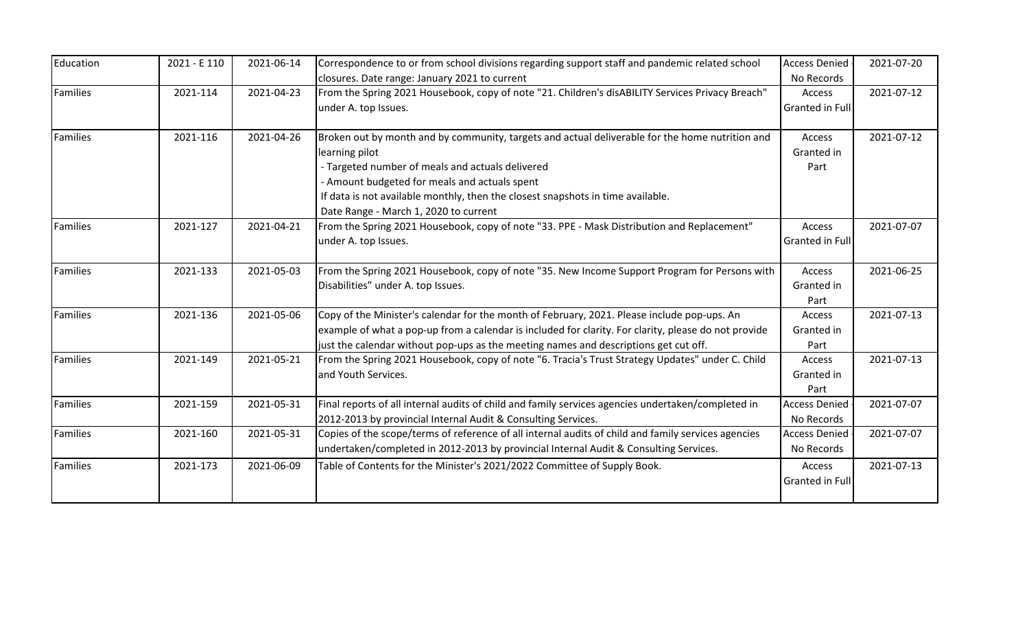| Education       | 2021 - E 110 | 2021-06-14 | Correspondence to or from school divisions regarding support staff and pandemic related school       | <b>Access Denied</b>   | 2021-07-20 |
|-----------------|--------------|------------|------------------------------------------------------------------------------------------------------|------------------------|------------|
|                 |              |            | closures. Date range: January 2021 to current                                                        | No Records             |            |
| Families        | 2021-114     | 2021-04-23 | From the Spring 2021 Housebook, copy of note "21. Children's disABILITY Services Privacy Breach"     | Access                 | 2021-07-12 |
|                 |              |            | under A. top Issues.                                                                                 | Granted in Full        |            |
| <b>Families</b> | 2021-116     | 2021-04-26 | Broken out by month and by community, targets and actual deliverable for the home nutrition and      | Access                 | 2021-07-12 |
|                 |              |            | learning pilot                                                                                       | Granted in             |            |
|                 |              |            | - Targeted number of meals and actuals delivered                                                     | Part                   |            |
|                 |              |            | - Amount budgeted for meals and actuals spent                                                        |                        |            |
|                 |              |            | If data is not available monthly, then the closest snapshots in time available.                      |                        |            |
|                 |              |            | Date Range - March 1, 2020 to current                                                                |                        |            |
| <b>Families</b> | 2021-127     | 2021-04-21 | From the Spring 2021 Housebook, copy of note "33. PPE - Mask Distribution and Replacement"           | Access                 | 2021-07-07 |
|                 |              |            | under A. top Issues.                                                                                 | Granted in Full        |            |
| Families        | 2021-133     | 2021-05-03 | From the Spring 2021 Housebook, copy of note "35. New Income Support Program for Persons with        | Access                 | 2021-06-25 |
|                 |              |            | Disabilities" under A. top Issues.                                                                   | Granted in<br>Part     |            |
| <b>Families</b> | 2021-136     | 2021-05-06 | Copy of the Minister's calendar for the month of February, 2021. Please include pop-ups. An          | Access                 | 2021-07-13 |
|                 |              |            | example of what a pop-up from a calendar is included for clarity. For clarity, please do not provide | Granted in             |            |
|                 |              |            | just the calendar without pop-ups as the meeting names and descriptions get cut off.                 | Part                   |            |
| <b>Families</b> | 2021-149     | 2021-05-21 | From the Spring 2021 Housebook, copy of note "6. Tracia's Trust Strategy Updates" under C. Child     | Access                 | 2021-07-13 |
|                 |              |            | and Youth Services.                                                                                  | Granted in             |            |
|                 |              |            |                                                                                                      | Part                   |            |
| <b>Families</b> | 2021-159     | 2021-05-31 | Final reports of all internal audits of child and family services agencies undertaken/completed in   | <b>Access Denied</b>   | 2021-07-07 |
|                 |              |            | 2012-2013 by provincial Internal Audit & Consulting Services.                                        | No Records             |            |
| Families        | 2021-160     | 2021-05-31 | Copies of the scope/terms of reference of all internal audits of child and family services agencies  | <b>Access Denied</b>   | 2021-07-07 |
|                 |              |            | undertaken/completed in 2012-2013 by provincial Internal Audit & Consulting Services.                | No Records             |            |
| Families        | 2021-173     | 2021-06-09 | Table of Contents for the Minister's 2021/2022 Committee of Supply Book.                             | Access                 | 2021-07-13 |
|                 |              |            |                                                                                                      | <b>Granted in Full</b> |            |
|                 |              |            |                                                                                                      |                        |            |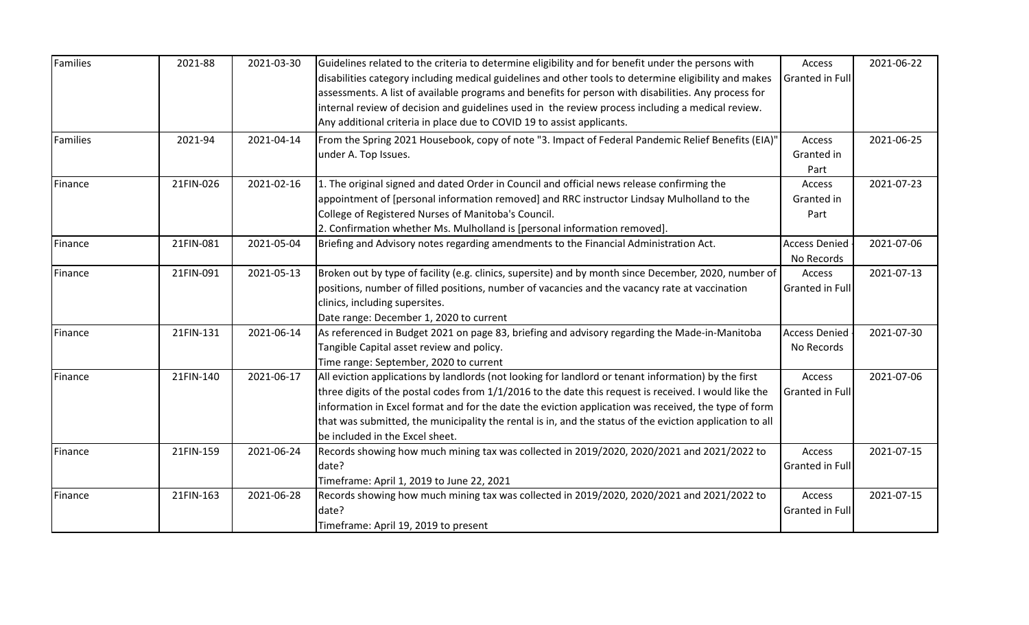| Families | 2021-88   | 2021-03-30 | Guidelines related to the criteria to determine eligibility and for benefit under the persons with<br>disabilities category including medical guidelines and other tools to determine eligibility and makes | Access<br><b>Granted in Full</b>   | 2021-06-22 |
|----------|-----------|------------|-------------------------------------------------------------------------------------------------------------------------------------------------------------------------------------------------------------|------------------------------------|------------|
|          |           |            | assessments. A list of available programs and benefits for person with disabilities. Any process for                                                                                                        |                                    |            |
|          |           |            | internal review of decision and guidelines used in the review process including a medical review.                                                                                                           |                                    |            |
|          |           |            | Any additional criteria in place due to COVID 19 to assist applicants.                                                                                                                                      |                                    |            |
| Families | 2021-94   | 2021-04-14 | From the Spring 2021 Housebook, copy of note "3. Impact of Federal Pandemic Relief Benefits (EIA)"                                                                                                          | Access                             | 2021-06-25 |
|          |           |            | under A. Top Issues.                                                                                                                                                                                        | Granted in                         |            |
|          |           |            |                                                                                                                                                                                                             | Part                               |            |
| Finance  | 21FIN-026 | 2021-02-16 | 1. The original signed and dated Order in Council and official news release confirming the                                                                                                                  | Access                             | 2021-07-23 |
|          |           |            | appointment of [personal information removed] and RRC instructor Lindsay Mulholland to the                                                                                                                  | Granted in                         |            |
|          |           |            | College of Registered Nurses of Manitoba's Council.                                                                                                                                                         | Part                               |            |
|          |           |            | 2. Confirmation whether Ms. Mulholland is [personal information removed].                                                                                                                                   |                                    |            |
| Finance  | 21FIN-081 | 2021-05-04 | Briefing and Advisory notes regarding amendments to the Financial Administration Act.                                                                                                                       | <b>Access Denied</b><br>No Records | 2021-07-06 |
| Finance  | 21FIN-091 | 2021-05-13 | Broken out by type of facility (e.g. clinics, supersite) and by month since December, 2020, number of                                                                                                       | Access                             | 2021-07-13 |
|          |           |            | positions, number of filled positions, number of vacancies and the vacancy rate at vaccination                                                                                                              | <b>Granted in Full</b>             |            |
|          |           |            | clinics, including supersites.                                                                                                                                                                              |                                    |            |
|          |           |            | Date range: December 1, 2020 to current                                                                                                                                                                     |                                    |            |
| Finance  | 21FIN-131 | 2021-06-14 | As referenced in Budget 2021 on page 83, briefing and advisory regarding the Made-in-Manitoba                                                                                                               | <b>Access Denied</b>               | 2021-07-30 |
|          |           |            | Tangible Capital asset review and policy.                                                                                                                                                                   | No Records                         |            |
|          |           |            | Time range: September, 2020 to current                                                                                                                                                                      |                                    |            |
| Finance  | 21FIN-140 | 2021-06-17 | All eviction applications by landlords (not looking for landlord or tenant information) by the first                                                                                                        | Access                             | 2021-07-06 |
|          |           |            | three digits of the postal codes from 1/1/2016 to the date this request is received. I would like the                                                                                                       | <b>Granted in Full</b>             |            |
|          |           |            | information in Excel format and for the date the eviction application was received, the type of form                                                                                                        |                                    |            |
|          |           |            | that was submitted, the municipality the rental is in, and the status of the eviction application to all                                                                                                    |                                    |            |
|          |           |            | be included in the Excel sheet.                                                                                                                                                                             |                                    |            |
| Finance  | 21FIN-159 | 2021-06-24 | Records showing how much mining tax was collected in 2019/2020, 2020/2021 and 2021/2022 to                                                                                                                  | Access                             | 2021-07-15 |
|          |           |            | date?                                                                                                                                                                                                       | <b>Granted in Full</b>             |            |
|          |           |            | Timeframe: April 1, 2019 to June 22, 2021                                                                                                                                                                   |                                    |            |
| Finance  | 21FIN-163 | 2021-06-28 | Records showing how much mining tax was collected in 2019/2020, 2020/2021 and 2021/2022 to                                                                                                                  | Access                             | 2021-07-15 |
|          |           |            | date?                                                                                                                                                                                                       | Granted in Full                    |            |
|          |           |            | Timeframe: April 19, 2019 to present                                                                                                                                                                        |                                    |            |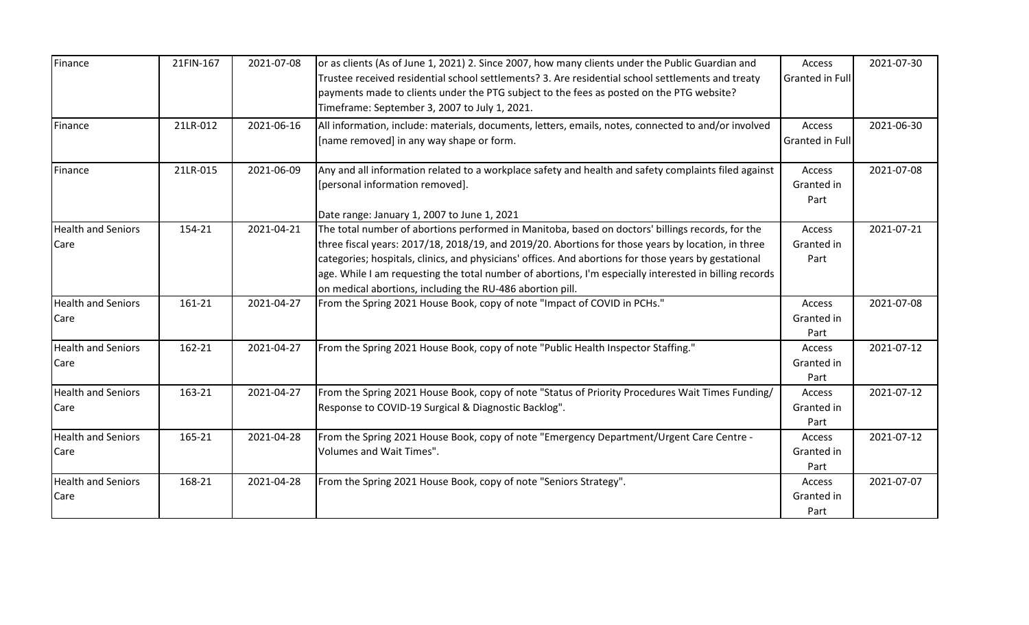| Finance                           | 21FIN-167 | 2021-07-08 | or as clients (As of June 1, 2021) 2. Since 2007, how many clients under the Public Guardian and<br>Trustee received residential school settlements? 3. Are residential school settlements and treaty<br>payments made to clients under the PTG subject to the fees as posted on the PTG website?<br>Timeframe: September 3, 2007 to July 1, 2021.                                                                                                                                     | Access<br>Granted in Full        | 2021-07-30 |
|-----------------------------------|-----------|------------|----------------------------------------------------------------------------------------------------------------------------------------------------------------------------------------------------------------------------------------------------------------------------------------------------------------------------------------------------------------------------------------------------------------------------------------------------------------------------------------|----------------------------------|------------|
| Finance                           | 21LR-012  | 2021-06-16 | All information, include: materials, documents, letters, emails, notes, connected to and/or involved<br>[name removed] in any way shape or form.                                                                                                                                                                                                                                                                                                                                       | Access<br><b>Granted in Full</b> | 2021-06-30 |
| Finance                           | 21LR-015  | 2021-06-09 | Any and all information related to a workplace safety and health and safety complaints filed against<br>[personal information removed].<br>Date range: January 1, 2007 to June 1, 2021                                                                                                                                                                                                                                                                                                 | Access<br>Granted in<br>Part     | 2021-07-08 |
| <b>Health and Seniors</b><br>Care | 154-21    | 2021-04-21 | The total number of abortions performed in Manitoba, based on doctors' billings records, for the<br>three fiscal years: 2017/18, 2018/19, and 2019/20. Abortions for those years by location, in three<br>categories; hospitals, clinics, and physicians' offices. And abortions for those years by gestational<br>age. While I am requesting the total number of abortions, I'm especially interested in billing records<br>on medical abortions, including the RU-486 abortion pill. | Access<br>Granted in<br>Part     | 2021-07-21 |
| <b>Health and Seniors</b><br>Care | 161-21    | 2021-04-27 | From the Spring 2021 House Book, copy of note "Impact of COVID in PCHs."                                                                                                                                                                                                                                                                                                                                                                                                               | Access<br>Granted in<br>Part     | 2021-07-08 |
| <b>Health and Seniors</b><br>Care | 162-21    | 2021-04-27 | From the Spring 2021 House Book, copy of note "Public Health Inspector Staffing."                                                                                                                                                                                                                                                                                                                                                                                                      | Access<br>Granted in<br>Part     | 2021-07-12 |
| <b>Health and Seniors</b><br>Care | 163-21    | 2021-04-27 | From the Spring 2021 House Book, copy of note "Status of Priority Procedures Wait Times Funding/<br>Response to COVID-19 Surgical & Diagnostic Backlog".                                                                                                                                                                                                                                                                                                                               | Access<br>Granted in<br>Part     | 2021-07-12 |
| <b>Health and Seniors</b><br>Care | 165-21    | 2021-04-28 | From the Spring 2021 House Book, copy of note "Emergency Department/Urgent Care Centre -<br>Volumes and Wait Times".                                                                                                                                                                                                                                                                                                                                                                   | Access<br>Granted in<br>Part     | 2021-07-12 |
| <b>Health and Seniors</b><br>Care | 168-21    | 2021-04-28 | From the Spring 2021 House Book, copy of note "Seniors Strategy".                                                                                                                                                                                                                                                                                                                                                                                                                      | Access<br>Granted in<br>Part     | 2021-07-07 |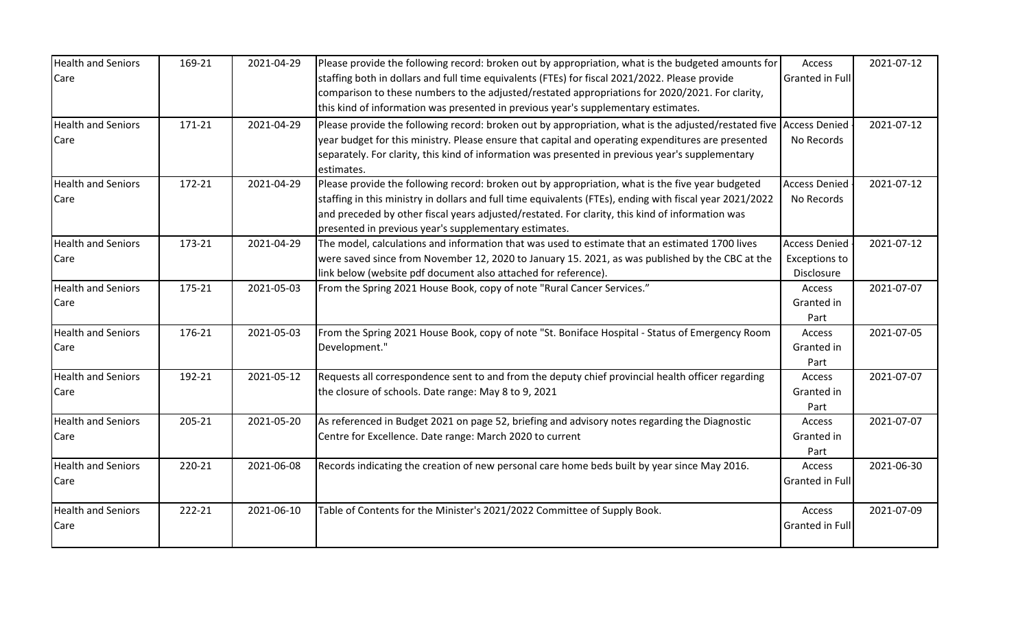| <b>Health and Seniors</b> | 169-21 | 2021-04-29 | Please provide the following record: broken out by appropriation, what is the budgeted amounts for       | Access                 | 2021-07-12 |
|---------------------------|--------|------------|----------------------------------------------------------------------------------------------------------|------------------------|------------|
| Care                      |        |            | staffing both in dollars and full time equivalents (FTEs) for fiscal 2021/2022. Please provide           | Granted in Full        |            |
|                           |        |            | comparison to these numbers to the adjusted/restated appropriations for 2020/2021. For clarity,          |                        |            |
|                           |        |            | this kind of information was presented in previous year's supplementary estimates.                       |                        |            |
| <b>Health and Seniors</b> | 171-21 | 2021-04-29 | Please provide the following record: broken out by appropriation, what is the adjusted/restated five     | <b>Access Denied</b>   | 2021-07-12 |
| Care                      |        |            | year budget for this ministry. Please ensure that capital and operating expenditures are presented       | No Records             |            |
|                           |        |            | separately. For clarity, this kind of information was presented in previous year's supplementary         |                        |            |
|                           |        |            | estimates.                                                                                               |                        |            |
| <b>Health and Seniors</b> | 172-21 | 2021-04-29 | Please provide the following record: broken out by appropriation, what is the five year budgeted         | <b>Access Denied</b>   | 2021-07-12 |
| Care                      |        |            | staffing in this ministry in dollars and full time equivalents (FTEs), ending with fiscal year 2021/2022 | No Records             |            |
|                           |        |            | and preceded by other fiscal years adjusted/restated. For clarity, this kind of information was          |                        |            |
|                           |        |            | presented in previous year's supplementary estimates.                                                    |                        |            |
| <b>Health and Seniors</b> | 173-21 | 2021-04-29 | The model, calculations and information that was used to estimate that an estimated 1700 lives           | <b>Access Denied</b>   | 2021-07-12 |
| Care                      |        |            | were saved since from November 12, 2020 to January 15. 2021, as was published by the CBC at the          | <b>Exceptions to</b>   |            |
|                           |        |            | link below (website pdf document also attached for reference).                                           | Disclosure             |            |
| <b>Health and Seniors</b> | 175-21 | 2021-05-03 | From the Spring 2021 House Book, copy of note "Rural Cancer Services."                                   | Access                 | 2021-07-07 |
| Care                      |        |            |                                                                                                          | Granted in             |            |
|                           |        |            |                                                                                                          | Part                   |            |
| <b>Health and Seniors</b> | 176-21 | 2021-05-03 | From the Spring 2021 House Book, copy of note "St. Boniface Hospital - Status of Emergency Room          | Access                 | 2021-07-05 |
| Care                      |        |            | Development."                                                                                            | Granted in             |            |
|                           |        |            |                                                                                                          | Part                   |            |
| <b>Health and Seniors</b> | 192-21 | 2021-05-12 | Requests all correspondence sent to and from the deputy chief provincial health officer regarding        | Access                 | 2021-07-07 |
| Care                      |        |            | the closure of schools. Date range: May 8 to 9, 2021                                                     | Granted in             |            |
|                           |        |            |                                                                                                          | Part                   |            |
| <b>Health and Seniors</b> | 205-21 | 2021-05-20 | As referenced in Budget 2021 on page 52, briefing and advisory notes regarding the Diagnostic            | Access                 | 2021-07-07 |
| Care                      |        |            | Centre for Excellence. Date range: March 2020 to current                                                 | Granted in             |            |
|                           |        |            |                                                                                                          | Part                   |            |
| <b>Health and Seniors</b> | 220-21 | 2021-06-08 | Records indicating the creation of new personal care home beds built by year since May 2016.             | Access                 | 2021-06-30 |
| Care                      |        |            |                                                                                                          | Granted in Full        |            |
|                           |        |            |                                                                                                          |                        |            |
| <b>Health and Seniors</b> | 222-21 | 2021-06-10 | Table of Contents for the Minister's 2021/2022 Committee of Supply Book.                                 | Access                 | 2021-07-09 |
| Care                      |        |            |                                                                                                          | <b>Granted in Full</b> |            |
|                           |        |            |                                                                                                          |                        |            |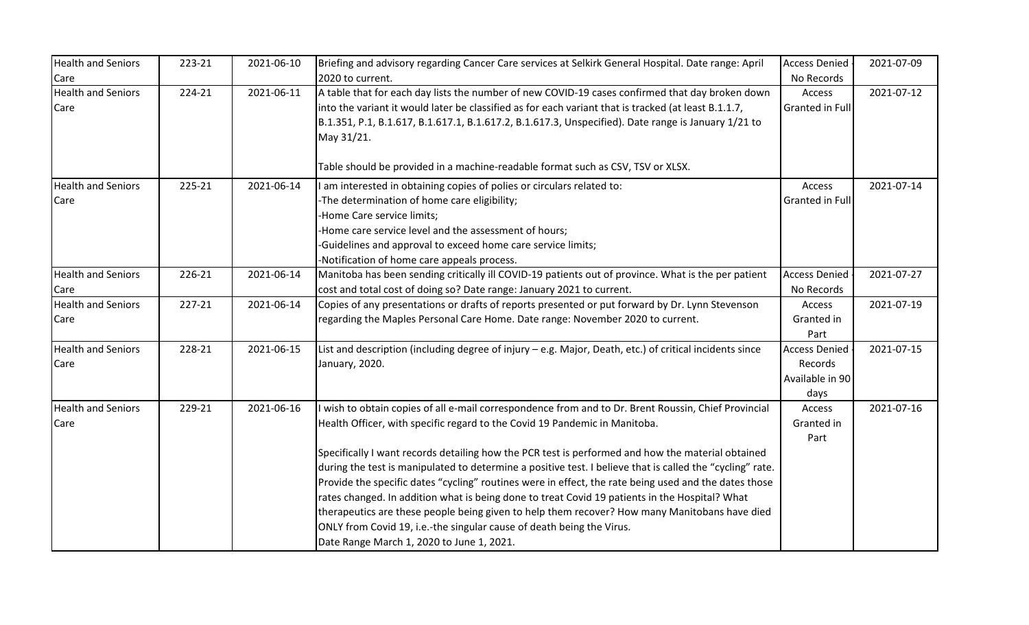| <b>Health and Seniors</b>         | 223-21 | 2021-06-10 | Briefing and advisory regarding Cancer Care services at Selkirk General Hospital. Date range: April                                                                                                                                                                                                                                                                                                                                                                                                                                         | <b>Access Denied</b>                                       | 2021-07-09 |
|-----------------------------------|--------|------------|---------------------------------------------------------------------------------------------------------------------------------------------------------------------------------------------------------------------------------------------------------------------------------------------------------------------------------------------------------------------------------------------------------------------------------------------------------------------------------------------------------------------------------------------|------------------------------------------------------------|------------|
| Care                              |        |            | 2020 to current.                                                                                                                                                                                                                                                                                                                                                                                                                                                                                                                            | No Records                                                 |            |
| <b>Health and Seniors</b><br>Care | 224-21 | 2021-06-11 | A table that for each day lists the number of new COVID-19 cases confirmed that day broken down<br>into the variant it would later be classified as for each variant that is tracked (at least B.1.1.7,<br>B.1.351, P.1, B.1.617, B.1.617.1, B.1.617.2, B.1.617.3, Unspecified). Date range is January 1/21 to<br>May 31/21.                                                                                                                                                                                                                | Access<br><b>Granted in Full</b>                           | 2021-07-12 |
|                                   |        |            | Table should be provided in a machine-readable format such as CSV, TSV or XLSX.                                                                                                                                                                                                                                                                                                                                                                                                                                                             |                                                            |            |
| <b>Health and Seniors</b><br>Care | 225-21 | 2021-06-14 | I am interested in obtaining copies of polies or circulars related to:<br>-The determination of home care eligibility;<br>Home Care service limits;<br>-Home care service level and the assessment of hours;<br>-Guidelines and approval to exceed home care service limits;<br>-Notification of home care appeals process.                                                                                                                                                                                                                 | Access<br>Granted in Full                                  | 2021-07-14 |
| <b>Health and Seniors</b>         | 226-21 | 2021-06-14 | Manitoba has been sending critically ill COVID-19 patients out of province. What is the per patient                                                                                                                                                                                                                                                                                                                                                                                                                                         | <b>Access Denied</b>                                       | 2021-07-27 |
| Care                              |        |            | cost and total cost of doing so? Date range: January 2021 to current.                                                                                                                                                                                                                                                                                                                                                                                                                                                                       | No Records                                                 |            |
| <b>Health and Seniors</b><br>Care | 227-21 | 2021-06-14 | Copies of any presentations or drafts of reports presented or put forward by Dr. Lynn Stevenson<br>regarding the Maples Personal Care Home. Date range: November 2020 to current.                                                                                                                                                                                                                                                                                                                                                           | Access<br>Granted in<br>Part                               | 2021-07-19 |
| <b>Health and Seniors</b><br>Care | 228-21 | 2021-06-15 | List and description (including degree of injury - e.g. Major, Death, etc.) of critical incidents since<br>January, 2020.                                                                                                                                                                                                                                                                                                                                                                                                                   | <b>Access Denied</b><br>Records<br>Available in 90<br>days | 2021-07-15 |
| <b>Health and Seniors</b><br>Care | 229-21 | 2021-06-16 | I wish to obtain copies of all e-mail correspondence from and to Dr. Brent Roussin, Chief Provincial<br>Health Officer, with specific regard to the Covid 19 Pandemic in Manitoba.<br>Specifically I want records detailing how the PCR test is performed and how the material obtained                                                                                                                                                                                                                                                     | Access<br>Granted in<br>Part                               | 2021-07-16 |
|                                   |        |            | during the test is manipulated to determine a positive test. I believe that is called the "cycling" rate.<br>Provide the specific dates "cycling" routines were in effect, the rate being used and the dates those<br>rates changed. In addition what is being done to treat Covid 19 patients in the Hospital? What<br>therapeutics are these people being given to help them recover? How many Manitobans have died<br>ONLY from Covid 19, i.e.-the singular cause of death being the Virus.<br>Date Range March 1, 2020 to June 1, 2021. |                                                            |            |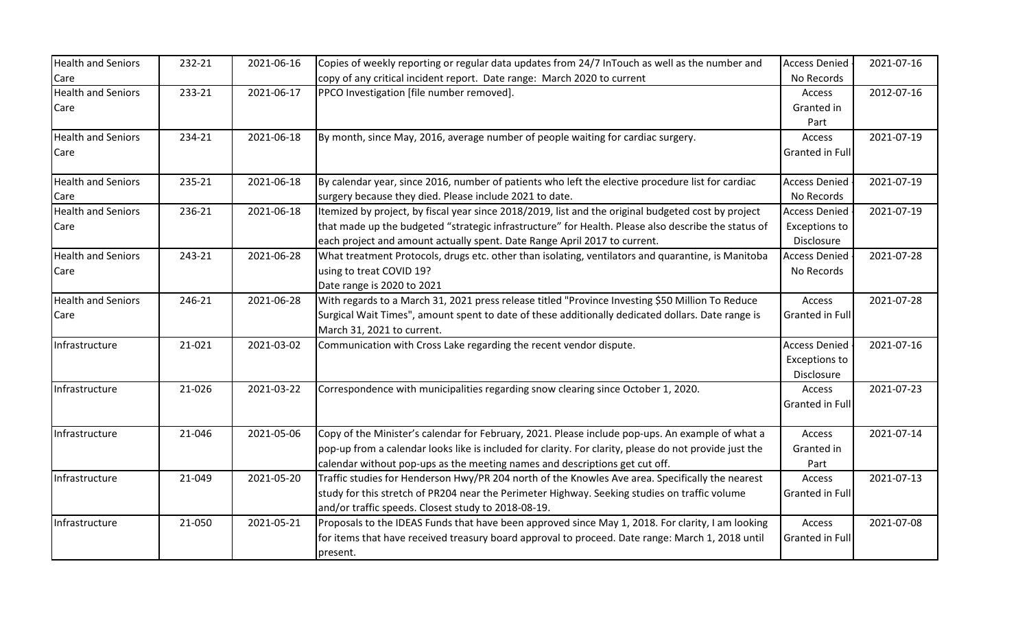| <b>Health and Seniors</b>         | 232-21 | 2021-06-16 | Copies of weekly reporting or regular data updates from 24/7 InTouch as well as the number and                                                                                                                                                                                            | Access Denied                                              | 2021-07-16 |
|-----------------------------------|--------|------------|-------------------------------------------------------------------------------------------------------------------------------------------------------------------------------------------------------------------------------------------------------------------------------------------|------------------------------------------------------------|------------|
| Care                              |        |            | copy of any critical incident report. Date range: March 2020 to current                                                                                                                                                                                                                   | No Records                                                 |            |
| <b>Health and Seniors</b><br>Care | 233-21 | 2021-06-17 | PPCO Investigation [file number removed].                                                                                                                                                                                                                                                 | Access<br>Granted in<br>Part                               | 2012-07-16 |
| <b>Health and Seniors</b><br>Care | 234-21 | 2021-06-18 | By month, since May, 2016, average number of people waiting for cardiac surgery.                                                                                                                                                                                                          | Access<br>Granted in Full                                  | 2021-07-19 |
| <b>Health and Seniors</b><br>Care | 235-21 | 2021-06-18 | By calendar year, since 2016, number of patients who left the elective procedure list for cardiac<br>surgery because they died. Please include 2021 to date.                                                                                                                              | <b>Access Denied</b><br>No Records                         | 2021-07-19 |
| <b>Health and Seniors</b><br>Care | 236-21 | 2021-06-18 | Itemized by project, by fiscal year since 2018/2019, list and the original budgeted cost by project<br>that made up the budgeted "strategic infrastructure" for Health. Please also describe the status of<br>each project and amount actually spent. Date Range April 2017 to current.   | <b>Access Denied</b><br><b>Exceptions to</b><br>Disclosure | 2021-07-19 |
| <b>Health and Seniors</b><br>Care | 243-21 | 2021-06-28 | What treatment Protocols, drugs etc. other than isolating, ventilators and quarantine, is Manitoba<br>using to treat COVID 19?<br>Date range is 2020 to 2021                                                                                                                              | <b>Access Denied</b><br>No Records                         | 2021-07-28 |
| <b>Health and Seniors</b><br>Care | 246-21 | 2021-06-28 | With regards to a March 31, 2021 press release titled "Province Investing \$50 Million To Reduce<br>Surgical Wait Times", amount spent to date of these additionally dedicated dollars. Date range is<br>March 31, 2021 to current.                                                       | Access<br>Granted in Full                                  | 2021-07-28 |
| Infrastructure                    | 21-021 | 2021-03-02 | Communication with Cross Lake regarding the recent vendor dispute.                                                                                                                                                                                                                        | <b>Access Denied</b><br><b>Exceptions to</b><br>Disclosure | 2021-07-16 |
| Infrastructure                    | 21-026 | 2021-03-22 | Correspondence with municipalities regarding snow clearing since October 1, 2020.                                                                                                                                                                                                         | Access<br>Granted in Full                                  | 2021-07-23 |
| Infrastructure                    | 21-046 | 2021-05-06 | Copy of the Minister's calendar for February, 2021. Please include pop-ups. An example of what a<br>pop-up from a calendar looks like is included for clarity. For clarity, please do not provide just the<br>calendar without pop-ups as the meeting names and descriptions get cut off. | Access<br>Granted in<br>Part                               | 2021-07-14 |
| Infrastructure                    | 21-049 | 2021-05-20 | Traffic studies for Henderson Hwy/PR 204 north of the Knowles Ave area. Specifically the nearest<br>study for this stretch of PR204 near the Perimeter Highway. Seeking studies on traffic volume<br>and/or traffic speeds. Closest study to 2018-08-19.                                  | Access<br>Granted in Full                                  | 2021-07-13 |
| Infrastructure                    | 21-050 | 2021-05-21 | Proposals to the IDEAS Funds that have been approved since May 1, 2018. For clarity, I am looking<br>for items that have received treasury board approval to proceed. Date range: March 1, 2018 until<br>present.                                                                         | Access<br>Granted in Full                                  | 2021-07-08 |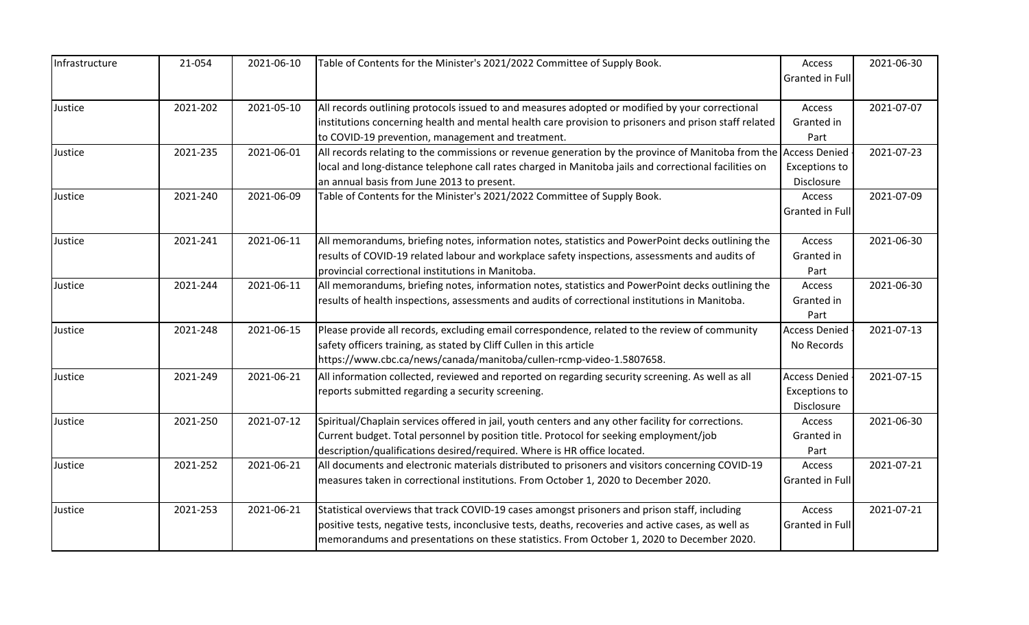| Infrastructure | 21-054   | 2021-06-10 | Table of Contents for the Minister's 2021/2022 Committee of Supply Book.                                         | Access                 | 2021-06-30 |
|----------------|----------|------------|------------------------------------------------------------------------------------------------------------------|------------------------|------------|
|                |          |            |                                                                                                                  | Granted in Full        |            |
| Justice        | 2021-202 | 2021-05-10 | All records outlining protocols issued to and measures adopted or modified by your correctional                  | Access                 | 2021-07-07 |
|                |          |            | institutions concerning health and mental health care provision to prisoners and prison staff related            | Granted in             |            |
|                |          |            | to COVID-19 prevention, management and treatment.                                                                | Part                   |            |
| Justice        | 2021-235 | 2021-06-01 | All records relating to the commissions or revenue generation by the province of Manitoba from the Access Denied |                        | 2021-07-23 |
|                |          |            | local and long-distance telephone call rates charged in Manitoba jails and correctional facilities on            | <b>Exceptions to</b>   |            |
|                |          |            | an annual basis from June 2013 to present.                                                                       | Disclosure             |            |
| Justice        | 2021-240 | 2021-06-09 | Table of Contents for the Minister's 2021/2022 Committee of Supply Book.                                         | Access                 | 2021-07-09 |
|                |          |            |                                                                                                                  | Granted in Full        |            |
| Justice        | 2021-241 | 2021-06-11 | All memorandums, briefing notes, information notes, statistics and PowerPoint decks outlining the                | Access                 | 2021-06-30 |
|                |          |            | results of COVID-19 related labour and workplace safety inspections, assessments and audits of                   | Granted in             |            |
|                |          |            | provincial correctional institutions in Manitoba.                                                                | Part                   |            |
| Justice        | 2021-244 | 2021-06-11 | All memorandums, briefing notes, information notes, statistics and PowerPoint decks outlining the                | Access                 | 2021-06-30 |
|                |          |            | results of health inspections, assessments and audits of correctional institutions in Manitoba.                  | Granted in             |            |
|                |          |            |                                                                                                                  | Part                   |            |
| Justice        | 2021-248 | 2021-06-15 | Please provide all records, excluding email correspondence, related to the review of community                   | <b>Access Denied</b>   | 2021-07-13 |
|                |          |            | safety officers training, as stated by Cliff Cullen in this article                                              | No Records             |            |
|                |          |            | https://www.cbc.ca/news/canada/manitoba/cullen-rcmp-video-1.5807658.                                             |                        |            |
| Justice        | 2021-249 | 2021-06-21 | All information collected, reviewed and reported on regarding security screening. As well as all                 | <b>Access Denied</b>   | 2021-07-15 |
|                |          |            | reports submitted regarding a security screening.                                                                | <b>Exceptions to</b>   |            |
|                |          |            |                                                                                                                  | Disclosure             |            |
| Justice        | 2021-250 | 2021-07-12 | Spiritual/Chaplain services offered in jail, youth centers and any other facility for corrections.               | Access                 | 2021-06-30 |
|                |          |            | Current budget. Total personnel by position title. Protocol for seeking employment/job                           | Granted in             |            |
|                |          |            | description/qualifications desired/required. Where is HR office located.                                         | Part                   |            |
| Justice        | 2021-252 | 2021-06-21 | All documents and electronic materials distributed to prisoners and visitors concerning COVID-19                 | Access                 | 2021-07-21 |
|                |          |            | measures taken in correctional institutions. From October 1, 2020 to December 2020.                              | <b>Granted in Full</b> |            |
| Justice        | 2021-253 | 2021-06-21 | Statistical overviews that track COVID-19 cases amongst prisoners and prison staff, including                    | Access                 | 2021-07-21 |
|                |          |            | positive tests, negative tests, inconclusive tests, deaths, recoveries and active cases, as well as              | Granted in Full        |            |
|                |          |            | memorandums and presentations on these statistics. From October 1, 2020 to December 2020.                        |                        |            |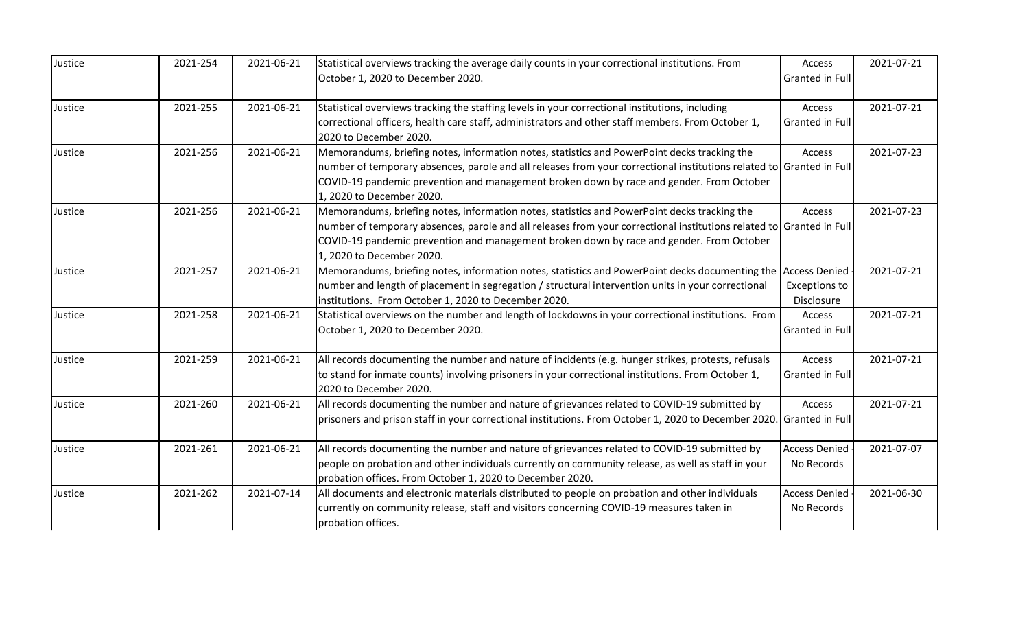| Justice | 2021-254 | 2021-06-21 | Statistical overviews tracking the average daily counts in your correctional institutions. From<br>October 1, 2020 to December 2020.                                                                                                                                                                                                          | Access<br>Granted in Full          | 2021-07-21 |
|---------|----------|------------|-----------------------------------------------------------------------------------------------------------------------------------------------------------------------------------------------------------------------------------------------------------------------------------------------------------------------------------------------|------------------------------------|------------|
| Justice | 2021-255 | 2021-06-21 | Statistical overviews tracking the staffing levels in your correctional institutions, including<br>correctional officers, health care staff, administrators and other staff members. From October 1,<br>2020 to December 2020.                                                                                                                | Access<br>Granted in Full          | 2021-07-21 |
| Justice | 2021-256 | 2021-06-21 | Memorandums, briefing notes, information notes, statistics and PowerPoint decks tracking the<br>number of temporary absences, parole and all releases from your correctional institutions related to Granted in Full<br>COVID-19 pandemic prevention and management broken down by race and gender. From October<br>1, 2020 to December 2020. | Access                             | 2021-07-23 |
| Justice | 2021-256 | 2021-06-21 | Memorandums, briefing notes, information notes, statistics and PowerPoint decks tracking the<br>number of temporary absences, parole and all releases from your correctional institutions related to Granted in Full<br>COVID-19 pandemic prevention and management broken down by race and gender. From October<br>1, 2020 to December 2020. | Access                             | 2021-07-23 |
| Justice | 2021-257 | 2021-06-21 | Memorandums, briefing notes, information notes, statistics and PowerPoint decks documenting the Access Denied<br>number and length of placement in segregation / structural intervention units in your correctional<br>Institutions. From October 1, 2020 to December 2020.                                                                   | <b>Exceptions to</b><br>Disclosure | 2021-07-21 |
| Justice | 2021-258 | 2021-06-21 | Statistical overviews on the number and length of lockdowns in your correctional institutions. From<br>October 1, 2020 to December 2020.                                                                                                                                                                                                      | Access<br>Granted in Full          | 2021-07-21 |
| Justice | 2021-259 | 2021-06-21 | All records documenting the number and nature of incidents (e.g. hunger strikes, protests, refusals<br>to stand for inmate counts) involving prisoners in your correctional institutions. From October 1,<br>2020 to December 2020.                                                                                                           | Access<br><b>Granted in Full</b>   | 2021-07-21 |
| Justice | 2021-260 | 2021-06-21 | All records documenting the number and nature of grievances related to COVID-19 submitted by<br>prisoners and prison staff in your correctional institutions. From October 1, 2020 to December 2020. Granted in Full                                                                                                                          | Access                             | 2021-07-21 |
| Justice | 2021-261 | 2021-06-21 | All records documenting the number and nature of grievances related to COVID-19 submitted by<br>people on probation and other individuals currently on community release, as well as staff in your<br>probation offices. From October 1, 2020 to December 2020.                                                                               | <b>Access Denied</b><br>No Records | 2021-07-07 |
| Justice | 2021-262 | 2021-07-14 | All documents and electronic materials distributed to people on probation and other individuals<br>currently on community release, staff and visitors concerning COVID-19 measures taken in<br>probation offices.                                                                                                                             | <b>Access Denied</b><br>No Records | 2021-06-30 |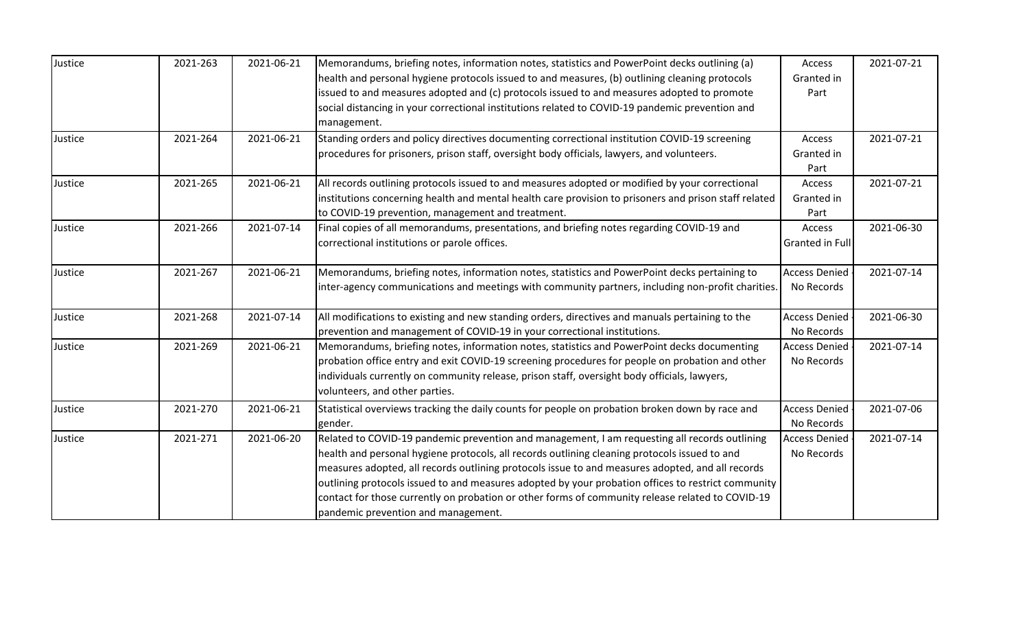| Justice | 2021-263 | 2021-06-21 | Memorandums, briefing notes, information notes, statistics and PowerPoint decks outlining (a)         | Access               | 2021-07-21 |
|---------|----------|------------|-------------------------------------------------------------------------------------------------------|----------------------|------------|
|         |          |            | health and personal hygiene protocols issued to and measures, (b) outlining cleaning protocols        | Granted in           |            |
|         |          |            | issued to and measures adopted and (c) protocols issued to and measures adopted to promote            | Part                 |            |
|         |          |            | social distancing in your correctional institutions related to COVID-19 pandemic prevention and       |                      |            |
|         |          |            | management.                                                                                           |                      |            |
| Justice | 2021-264 | 2021-06-21 | Standing orders and policy directives documenting correctional institution COVID-19 screening         | Access               | 2021-07-21 |
|         |          |            | procedures for prisoners, prison staff, oversight body officials, lawyers, and volunteers.            | Granted in           |            |
|         |          |            |                                                                                                       | Part                 |            |
| Justice | 2021-265 | 2021-06-21 | All records outlining protocols issued to and measures adopted or modified by your correctional       | Access               | 2021-07-21 |
|         |          |            | institutions concerning health and mental health care provision to prisoners and prison staff related | Granted in           |            |
|         |          |            | to COVID-19 prevention, management and treatment.                                                     | Part                 |            |
| Justice | 2021-266 | 2021-07-14 | Final copies of all memorandums, presentations, and briefing notes regarding COVID-19 and             | Access               | 2021-06-30 |
|         |          |            | correctional institutions or parole offices.                                                          | Granted in Full      |            |
| Justice | 2021-267 | 2021-06-21 | Memorandums, briefing notes, information notes, statistics and PowerPoint decks pertaining to         | <b>Access Denied</b> | 2021-07-14 |
|         |          |            | inter-agency communications and meetings with community partners, including non-profit charities.     | No Records           |            |
| Justice | 2021-268 | 2021-07-14 | All modifications to existing and new standing orders, directives and manuals pertaining to the       | <b>Access Denied</b> | 2021-06-30 |
|         |          |            | prevention and management of COVID-19 in your correctional institutions.                              | No Records           |            |
| Justice | 2021-269 | 2021-06-21 | Memorandums, briefing notes, information notes, statistics and PowerPoint decks documenting           | <b>Access Denied</b> | 2021-07-14 |
|         |          |            | probation office entry and exit COVID-19 screening procedures for people on probation and other       | No Records           |            |
|         |          |            | individuals currently on community release, prison staff, oversight body officials, lawyers,          |                      |            |
|         |          |            | volunteers, and other parties.                                                                        |                      |            |
| Justice | 2021-270 | 2021-06-21 | Statistical overviews tracking the daily counts for people on probation broken down by race and       | <b>Access Denied</b> | 2021-07-06 |
|         |          |            | gender.                                                                                               | No Records           |            |
| Justice | 2021-271 | 2021-06-20 | Related to COVID-19 pandemic prevention and management, I am requesting all records outlining         | <b>Access Denied</b> | 2021-07-14 |
|         |          |            | health and personal hygiene protocols, all records outlining cleaning protocols issued to and         | No Records           |            |
|         |          |            | measures adopted, all records outlining protocols issue to and measures adopted, and all records      |                      |            |
|         |          |            | outlining protocols issued to and measures adopted by your probation offices to restrict community    |                      |            |
|         |          |            | contact for those currently on probation or other forms of community release related to COVID-19      |                      |            |
|         |          |            | pandemic prevention and management.                                                                   |                      |            |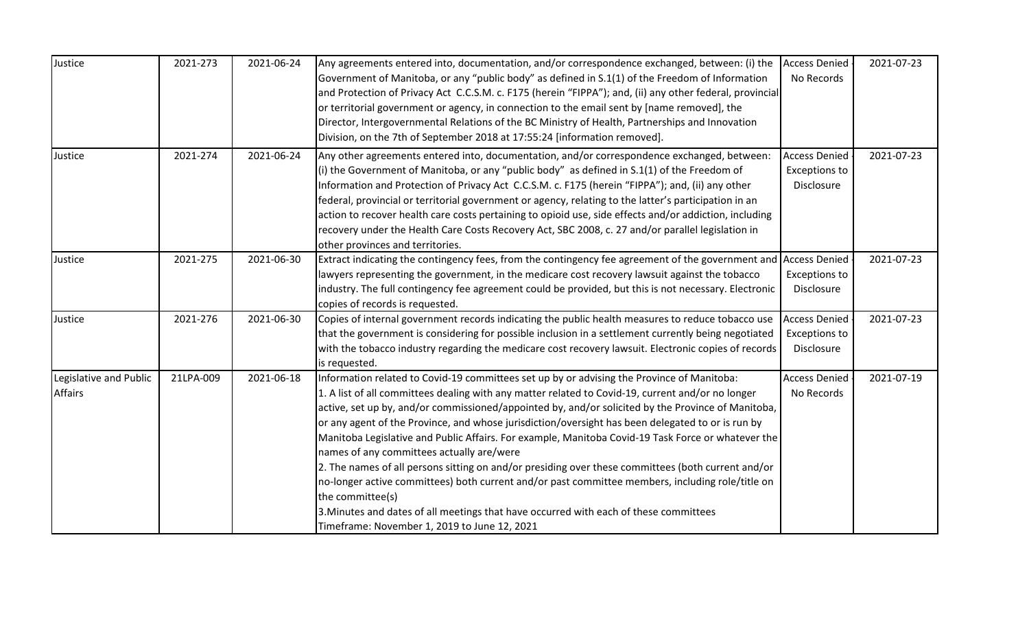| Justice                | 2021-273  | 2021-06-24 | Any agreements entered into, documentation, and/or correspondence exchanged, between: (i) the                   | <b>Access Denied</b> | 2021-07-23 |
|------------------------|-----------|------------|-----------------------------------------------------------------------------------------------------------------|----------------------|------------|
|                        |           |            | Government of Manitoba, or any "public body" as defined in S.1(1) of the Freedom of Information                 | No Records           |            |
|                        |           |            | and Protection of Privacy Act C.C.S.M. c. F175 (herein "FIPPA"); and, (ii) any other federal, provincial        |                      |            |
|                        |           |            | or territorial government or agency, in connection to the email sent by [name removed], the                     |                      |            |
|                        |           |            | Director, Intergovernmental Relations of the BC Ministry of Health, Partnerships and Innovation                 |                      |            |
|                        |           |            | Division, on the 7th of September 2018 at 17:55:24 [information removed].                                       |                      |            |
| Justice                | 2021-274  | 2021-06-24 | Any other agreements entered into, documentation, and/or correspondence exchanged, between:                     | <b>Access Denied</b> | 2021-07-23 |
|                        |           |            | (i) the Government of Manitoba, or any "public body" as defined in $S.1(1)$ of the Freedom of                   | <b>Exceptions to</b> |            |
|                        |           |            | Information and Protection of Privacy Act C.C.S.M. c. F175 (herein "FIPPA"); and, (ii) any other                | Disclosure           |            |
|                        |           |            | federal, provincial or territorial government or agency, relating to the latter's participation in an           |                      |            |
|                        |           |            | action to recover health care costs pertaining to opioid use, side effects and/or addiction, including          |                      |            |
|                        |           |            | recovery under the Health Care Costs Recovery Act, SBC 2008, c. 27 and/or parallel legislation in               |                      |            |
|                        |           |            | other provinces and territories.                                                                                |                      |            |
| Justice                | 2021-275  | 2021-06-30 | Extract indicating the contingency fees, from the contingency fee agreement of the government and Access Denied |                      | 2021-07-23 |
|                        |           |            | lawyers representing the government, in the medicare cost recovery lawsuit against the tobacco                  | Exceptions to        |            |
|                        |           |            | industry. The full contingency fee agreement could be provided, but this is not necessary. Electronic           | Disclosure           |            |
|                        |           |            | copies of records is requested.                                                                                 |                      |            |
| Justice                | 2021-276  | 2021-06-30 | Copies of internal government records indicating the public health measures to reduce tobacco use               | <b>Access Denied</b> | 2021-07-23 |
|                        |           |            | that the government is considering for possible inclusion in a settlement currently being negotiated            | <b>Exceptions to</b> |            |
|                        |           |            | with the tobacco industry regarding the medicare cost recovery lawsuit. Electronic copies of records            | Disclosure           |            |
|                        |           |            | is requested.                                                                                                   |                      |            |
| Legislative and Public | 21LPA-009 | 2021-06-18 | Information related to Covid-19 committees set up by or advising the Province of Manitoba:                      | <b>Access Denied</b> | 2021-07-19 |
| Affairs                |           |            | 1. A list of all committees dealing with any matter related to Covid-19, current and/or no longer               | No Records           |            |
|                        |           |            | active, set up by, and/or commissioned/appointed by, and/or solicited by the Province of Manitoba,              |                      |            |
|                        |           |            | or any agent of the Province, and whose jurisdiction/oversight has been delegated to or is run by               |                      |            |
|                        |           |            | Manitoba Legislative and Public Affairs. For example, Manitoba Covid-19 Task Force or whatever the              |                      |            |
|                        |           |            | names of any committees actually are/were                                                                       |                      |            |
|                        |           |            | 2. The names of all persons sitting on and/or presiding over these committees (both current and/or              |                      |            |
|                        |           |            | no-longer active committees) both current and/or past committee members, including role/title on                |                      |            |
|                        |           |            | the committee(s)                                                                                                |                      |            |
|                        |           |            | 3. Minutes and dates of all meetings that have occurred with each of these committees                           |                      |            |
|                        |           |            | Timeframe: November 1, 2019 to June 12, 2021                                                                    |                      |            |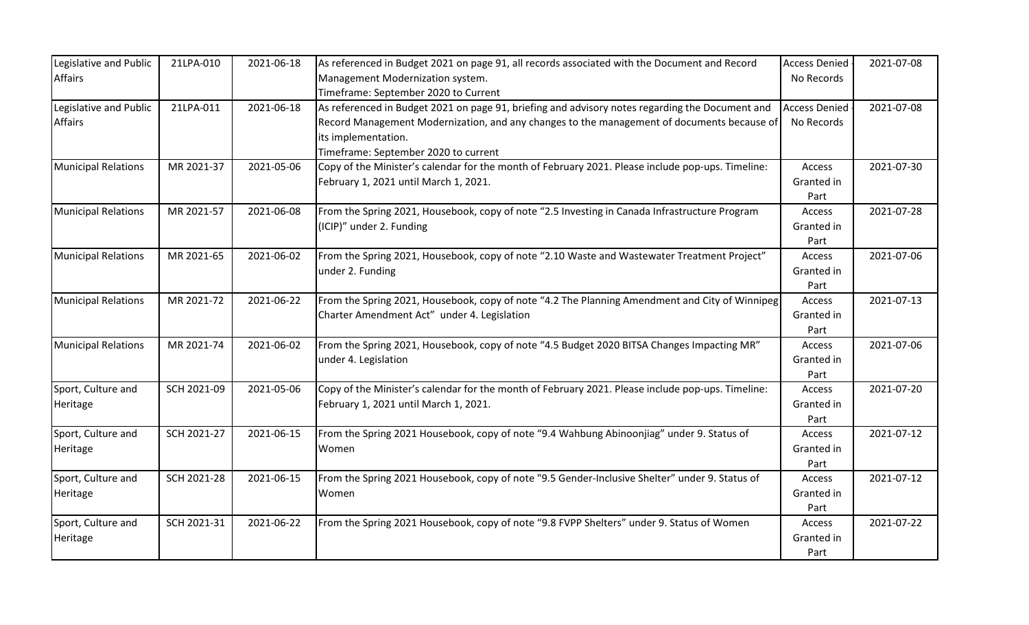| Legislative and Public     | 21LPA-010   | 2021-06-18 | As referenced in Budget 2021 on page 91, all records associated with the Document and Record      | <b>Access Denied</b> | 2021-07-08 |
|----------------------------|-------------|------------|---------------------------------------------------------------------------------------------------|----------------------|------------|
| <b>Affairs</b>             |             |            | Management Modernization system.                                                                  | No Records           |            |
|                            |             |            | Timeframe: September 2020 to Current                                                              |                      |            |
| Legislative and Public     | 21LPA-011   | 2021-06-18 | As referenced in Budget 2021 on page 91, briefing and advisory notes regarding the Document and   | <b>Access Denied</b> | 2021-07-08 |
| <b>Affairs</b>             |             |            | Record Management Modernization, and any changes to the management of documents because of        | No Records           |            |
|                            |             |            | its implementation.                                                                               |                      |            |
|                            |             |            | Timeframe: September 2020 to current                                                              |                      |            |
| <b>Municipal Relations</b> | MR 2021-37  | 2021-05-06 | Copy of the Minister's calendar for the month of February 2021. Please include pop-ups. Timeline: | Access               | 2021-07-30 |
|                            |             |            | February 1, 2021 until March 1, 2021.                                                             | Granted in           |            |
|                            |             |            |                                                                                                   | Part                 |            |
| <b>Municipal Relations</b> | MR 2021-57  | 2021-06-08 | From the Spring 2021, Housebook, copy of note "2.5 Investing in Canada Infrastructure Program     | Access               | 2021-07-28 |
|                            |             |            | (ICIP)" under 2. Funding                                                                          | Granted in           |            |
|                            |             |            |                                                                                                   | Part                 |            |
| <b>Municipal Relations</b> | MR 2021-65  | 2021-06-02 | From the Spring 2021, Housebook, copy of note "2.10 Waste and Wastewater Treatment Project"       | Access               | 2021-07-06 |
|                            |             |            | under 2. Funding                                                                                  | Granted in           |            |
|                            |             |            |                                                                                                   | Part                 |            |
| <b>Municipal Relations</b> | MR 2021-72  | 2021-06-22 | From the Spring 2021, Housebook, copy of note "4.2 The Planning Amendment and City of Winnipeg    | Access               | 2021-07-13 |
|                            |             |            | Charter Amendment Act" under 4. Legislation                                                       | Granted in           |            |
|                            |             |            |                                                                                                   | Part                 |            |
| <b>Municipal Relations</b> | MR 2021-74  | 2021-06-02 | From the Spring 2021, Housebook, copy of note "4.5 Budget 2020 BITSA Changes Impacting MR"        | Access               | 2021-07-06 |
|                            |             |            | under 4. Legislation                                                                              | Granted in           |            |
|                            |             |            |                                                                                                   | Part                 |            |
| Sport, Culture and         | SCH 2021-09 | 2021-05-06 | Copy of the Minister's calendar for the month of February 2021. Please include pop-ups. Timeline: | Access               | 2021-07-20 |
| Heritage                   |             |            | February 1, 2021 until March 1, 2021.                                                             | Granted in           |            |
|                            |             |            |                                                                                                   | Part                 |            |
| Sport, Culture and         | SCH 2021-27 | 2021-06-15 | From the Spring 2021 Housebook, copy of note "9.4 Wahbung Abinoonjiag" under 9. Status of         | Access               | 2021-07-12 |
| Heritage                   |             |            | Women                                                                                             | Granted in           |            |
|                            |             |            |                                                                                                   | Part                 |            |
| Sport, Culture and         | SCH 2021-28 | 2021-06-15 | From the Spring 2021 Housebook, copy of note "9.5 Gender-Inclusive Shelter" under 9. Status of    | Access               | 2021-07-12 |
| Heritage                   |             |            | Women                                                                                             | Granted in           |            |
|                            |             |            |                                                                                                   | Part                 |            |
| Sport, Culture and         | SCH 2021-31 | 2021-06-22 | From the Spring 2021 Housebook, copy of note "9.8 FVPP Shelters" under 9. Status of Women         | <b>Access</b>        | 2021-07-22 |
| Heritage                   |             |            |                                                                                                   | Granted in           |            |
|                            |             |            |                                                                                                   | Part                 |            |